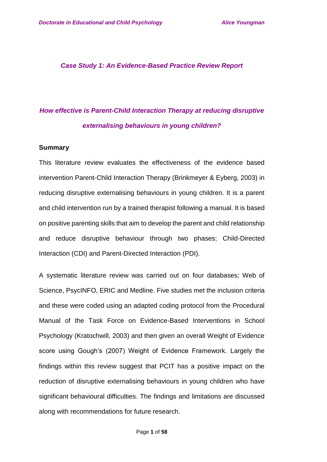*Case Study 1: An Evidence-Based Practice Review Report*

# *How effective is Parent-Child Interaction Therapy at reducing disruptive externalising behaviours in young children?*

#### **Summary**

This literature review evaluates the effectiveness of the evidence based intervention Parent-Child Interaction Therapy (Brinkmeyer & Eyberg, 2003) in reducing disruptive externalising behaviours in young children. It is a parent and child intervention run by a trained therapist following a manual. It is based on positive parenting skills that aim to develop the parent and child relationship and reduce disruptive behaviour through two phases; Child-Directed Interaction (CDI) and Parent-Directed Interaction (PDI).

A systematic literature review was carried out on four databases; Web of Science, PsycINFO, ERIC and Medline. Five studies met the inclusion criteria and these were coded using an adapted coding protocol from the Procedural Manual of the Task Force on Evidence-Based Interventions in School Psychology (Kratochwill, 2003) and then given an overall Weight of Evidence score using Gough's (2007) Weight of Evidence Framework. Largely the findings within this review suggest that PCIT has a positive impact on the reduction of disruptive externalising behaviours in young children who have significant behavioural difficulties. The findings and limitations are discussed along with recommendations for future research.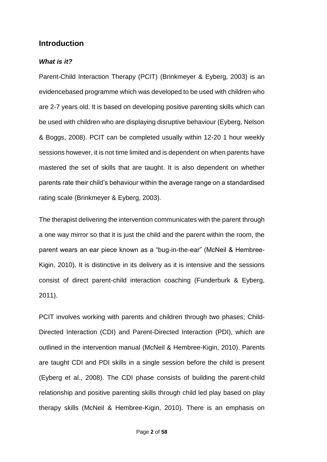### **Introduction**

#### *What is it?*

Parent-Child Interaction Therapy (PCIT) (Brinkmeyer & Eyberg, 2003) is an evidencebased programme which was developed to be used with children who are 2-7 years old. It is based on developing positive parenting skills which can be used with children who are displaying disruptive behaviour (Eyberg, Nelson & Boggs, 2008). PCIT can be completed usually within 12-20 1 hour weekly sessions however, it is not time limited and is dependent on when parents have mastered the set of skills that are taught. It is also dependent on whether parents rate their child's behaviour within the average range on a standardised rating scale (Brinkmeyer & Eyberg, 2003).

The therapist delivering the intervention communicates with the parent through a one way mirror so that it is just the child and the parent within the room, the parent wears an ear piece known as a "bug-in-the-ear" (McNeil & Hembree-Kigin, 2010). It is distinctive in its delivery as it is intensive and the sessions consist of direct parent-child interaction coaching (Funderburk & Eyberg, 2011).

PCIT involves working with parents and children through two phases; Child-Directed Interaction (CDI) and Parent-Directed Interaction (PDI), which are outlined in the intervention manual (McNeil & Hembree-Kigin, 2010). Parents are taught CDI and PDI skills in a single session before the child is present (Eyberg et al., 2008). The CDI phase consists of building the parent-child relationship and positive parenting skills through child led play based on play therapy skills (McNeil & Hembree-Kigin, 2010). There is an emphasis on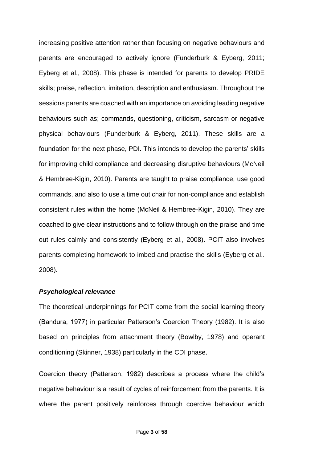increasing positive attention rather than focusing on negative behaviours and parents are encouraged to actively ignore (Funderburk & Eyberg, 2011; Eyberg et al., 2008). This phase is intended for parents to develop PRIDE skills; praise, reflection, imitation, description and enthusiasm. Throughout the sessions parents are coached with an importance on avoiding leading negative behaviours such as; commands, questioning, criticism, sarcasm or negative physical behaviours (Funderburk & Eyberg, 2011). These skills are a foundation for the next phase, PDI. This intends to develop the parents' skills for improving child compliance and decreasing disruptive behaviours (McNeil & Hembree-Kigin, 2010). Parents are taught to praise compliance, use good commands, and also to use a time out chair for non-compliance and establish consistent rules within the home (McNeil & Hembree-Kigin, 2010). They are coached to give clear instructions and to follow through on the praise and time out rules calmly and consistently (Eyberg et al., 2008). PCIT also involves parents completing homework to imbed and practise the skills (Eyberg et al.. 2008).

#### *Psychological relevance*

The theoretical underpinnings for PCIT come from the social learning theory (Bandura, 1977) in particular Patterson's Coercion Theory (1982). It is also based on principles from attachment theory (Bowlby, 1978) and operant conditioning (Skinner, 1938) particularly in the CDI phase.

Coercion theory (Patterson, 1982) describes a process where the child's negative behaviour is a result of cycles of reinforcement from the parents. It is where the parent positively reinforces through coercive behaviour which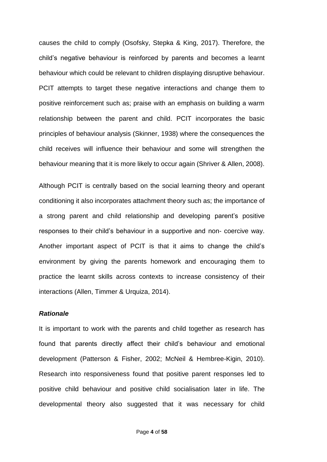causes the child to comply (Osofsky, Stepka & King, 2017). Therefore, the child's negative behaviour is reinforced by parents and becomes a learnt behaviour which could be relevant to children displaying disruptive behaviour. PCIT attempts to target these negative interactions and change them to positive reinforcement such as; praise with an emphasis on building a warm relationship between the parent and child. PCIT incorporates the basic principles of behaviour analysis (Skinner, 1938) where the consequences the child receives will influence their behaviour and some will strengthen the behaviour meaning that it is more likely to occur again (Shriver & Allen, 2008).

Although PCIT is centrally based on the social learning theory and operant conditioning it also incorporates attachment theory such as; the importance of a strong parent and child relationship and developing parent's positive responses to their child's behaviour in a supportive and non- coercive way. Another important aspect of PCIT is that it aims to change the child's environment by giving the parents homework and encouraging them to practice the learnt skills across contexts to increase consistency of their interactions (Allen, Timmer & Urquiza, 2014).

#### *Rationale*

It is important to work with the parents and child together as research has found that parents directly affect their child's behaviour and emotional development (Patterson & Fisher, 2002; McNeil & Hembree-Kigin, 2010). Research into responsiveness found that positive parent responses led to positive child behaviour and positive child socialisation later in life. The developmental theory also suggested that it was necessary for child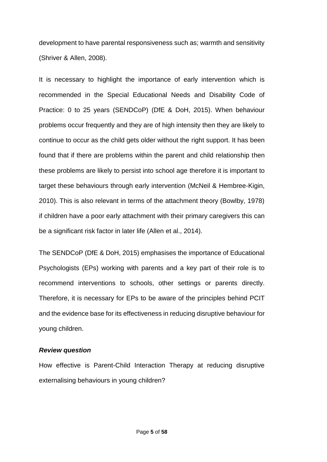development to have parental responsiveness such as; warmth and sensitivity (Shriver & Allen, 2008).

It is necessary to highlight the importance of early intervention which is recommended in the Special Educational Needs and Disability Code of Practice: 0 to 25 years (SENDCoP) (DfE & DoH, 2015). When behaviour problems occur frequently and they are of high intensity then they are likely to continue to occur as the child gets older without the right support. It has been found that if there are problems within the parent and child relationship then these problems are likely to persist into school age therefore it is important to target these behaviours through early intervention (McNeil & Hembree-Kigin, 2010). This is also relevant in terms of the attachment theory (Bowlby, 1978) if children have a poor early attachment with their primary caregivers this can be a significant risk factor in later life (Allen et al., 2014).

The SENDCoP (DfE & DoH, 2015) emphasises the importance of Educational Psychologists (EPs) working with parents and a key part of their role is to recommend interventions to schools, other settings or parents directly. Therefore, it is necessary for EPs to be aware of the principles behind PCIT and the evidence base for its effectiveness in reducing disruptive behaviour for young children.

#### *Review question*

How effective is Parent-Child Interaction Therapy at reducing disruptive externalising behaviours in young children?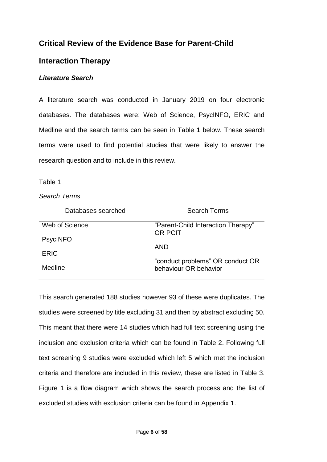# **Critical Review of the Evidence Base for Parent-Child**

### **Interaction Therapy**

### *Literature Search*

A literature search was conducted in January 2019 on four electronic databases. The databases were; Web of Science, PsycINFO, ERIC and Medline and the search terms can be seen in Table 1 below. These search terms were used to find potential studies that were likely to answer the research question and to include in this review.

#### Table 1

#### *Search Terms*

| Databases searched | <b>Search Terms</b>                           |
|--------------------|-----------------------------------------------|
| Web of Science     | "Parent-Child Interaction Therapy"<br>OR PCIT |
| <b>PsycINFO</b>    | AND                                           |
| ERIC               | "conduct problems" OR conduct OR              |
| Medline            | behaviour OR behavior                         |

This search generated 188 studies however 93 of these were duplicates. The studies were screened by title excluding 31 and then by abstract excluding 50. This meant that there were 14 studies which had full text screening using the inclusion and exclusion criteria which can be found in Table 2. Following full text screening 9 studies were excluded which left 5 which met the inclusion criteria and therefore are included in this review, these are listed in Table 3. Figure 1 is a flow diagram which shows the search process and the list of excluded studies with exclusion criteria can be found in Appendix 1.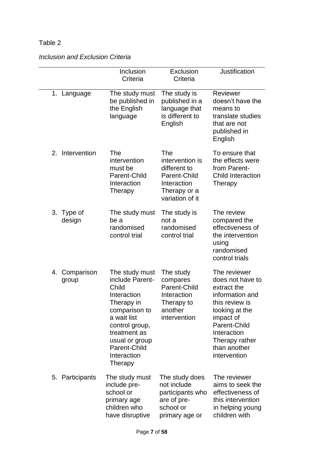### *Inclusion and Exclusion Criteria*

|                        | Inclusion<br>Criteria                                                                                                                                                                                 | Exclusion<br>Criteria                                                                                    | <b>Justification</b>                                                                                                                                                                                 |
|------------------------|-------------------------------------------------------------------------------------------------------------------------------------------------------------------------------------------------------|----------------------------------------------------------------------------------------------------------|------------------------------------------------------------------------------------------------------------------------------------------------------------------------------------------------------|
| 1. Language            | The study must<br>be published in<br>the English<br>language                                                                                                                                          | The study is<br>published in a<br>language that<br>is different to<br>English                            | Reviewer<br>doesn't have the<br>means to<br>translate studies<br>that are not<br>published in<br>English                                                                                             |
| 2. Intervention        | The<br>intervention<br>must be<br>Parent-Child<br>Interaction<br>Therapy                                                                                                                              | The<br>intervention is<br>different to<br>Parent-Child<br>Interaction<br>Therapy or a<br>variation of it | To ensure that<br>the effects were<br>from Parent-<br><b>Child Interaction</b><br>Therapy                                                                                                            |
| 3. Type of<br>design   | The study must<br>be a<br>randomised<br>control trial                                                                                                                                                 | The study is<br>not a<br>randomised<br>control trial                                                     | The review<br>compared the<br>effectiveness of<br>the intervention<br>using<br>randomised<br>control trials                                                                                          |
| 4. Comparison<br>group | The study must<br>include Parent-<br>Child<br>Interaction<br>Therapy in<br>comparison to<br>a wait list<br>control group,<br>treatment as<br>usual or group<br>Parent-Child<br>Interaction<br>Therapy | The study<br>compares<br>Parent-Child<br>Interaction<br>Therapy to<br>another<br>intervention            | The reviewer<br>does not have to<br>extract the<br>information and<br>this review is<br>looking at the<br>impact of<br>Parent-Child<br>Interaction<br>Therapy rather<br>than another<br>intervention |
| 5. Participants        | The study must<br>include pre-<br>school or<br>primary age<br>children who<br>have disruptive                                                                                                         | The study does<br>not include<br>participants who<br>are of pre-<br>school or<br>primary age or          | The reviewer<br>aims to seek the<br>effectiveness of<br>this intervention<br>in helping young<br>children with                                                                                       |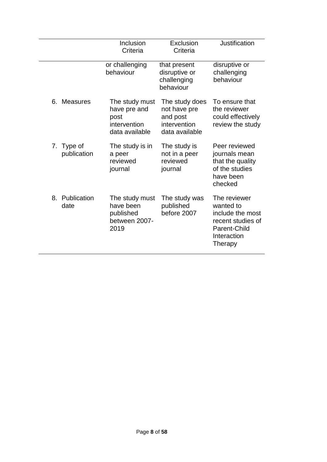|                           | Inclusion<br>Criteria                                                    | Exclusion<br>Criteria                                                        | <b>Justification</b>                                                                                         |
|---------------------------|--------------------------------------------------------------------------|------------------------------------------------------------------------------|--------------------------------------------------------------------------------------------------------------|
|                           | or challenging<br>behaviour                                              | that present<br>disruptive or<br>challenging<br>behaviour                    | disruptive or<br>challenging<br>behaviour                                                                    |
| 6. Measures               | The study must<br>have pre and<br>post<br>intervention<br>data available | The study does<br>not have pre<br>and post<br>intervention<br>data available | To ensure that<br>the reviewer<br>could effectively<br>review the study                                      |
| 7. Type of<br>publication | The study is in<br>a peer<br>reviewed<br>journal                         | The study is<br>not in a peer<br>reviewed<br>journal                         | Peer reviewed<br>journals mean<br>that the quality<br>of the studies<br>have been<br>checked                 |
| 8. Publication<br>date    | The study must<br>have been<br>published<br>between 2007-<br>2019        | The study was<br>published<br>before 2007                                    | The reviewer<br>wanted to<br>include the most<br>recent studies of<br>Parent-Child<br>Interaction<br>Therapy |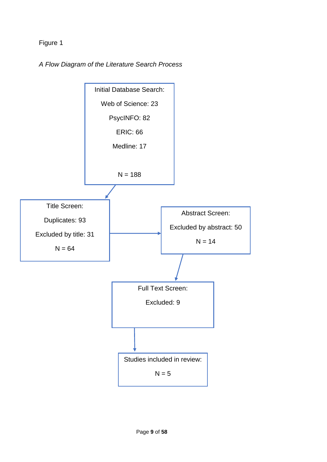Figure 1

*A Flow Diagram of the Literature Search Process* 

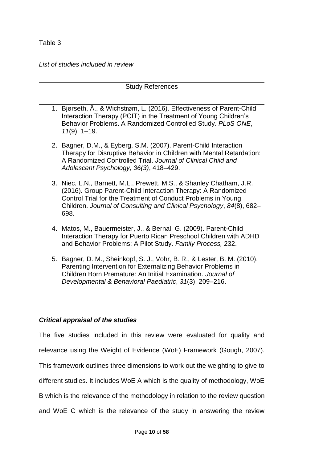*List of studies included in review* 

#### Study References

- 1. Bjørseth, Å., & Wichstrøm, L. (2016). Effectiveness of Parent-Child Interaction Therapy (PCIT) in the Treatment of Young Children's Behavior Problems. A Randomized Controlled Study. *PLoS ONE*, *11*(9), 1–19.
- 2. Bagner, D.M., & Eyberg, S.M. (2007). Parent-Child Interaction Therapy for Disruptive Behavior in Children with Mental Retardation: A Randomized Controlled Trial. *Journal of Clinical Child and Adolescent Psychology, 36(3)*, 418–429.
- 3. Niec, L.N., Barnett, M.L., Prewett, M.S., & Shanley Chatham, J.R. (2016). Group Parent-Child Interaction Therapy: A Randomized Control Trial for the Treatment of Conduct Problems in Young Children. *Journal of Consulting and Clinical Psychology*, *84*(8), 682– 698.
- 4. Matos, M., Bauermeister, J., & Bernal, G. (2009). Parent-Child Interaction Therapy for Puerto Rican Preschool Children with ADHD and Behavior Problems: A Pilot Study. *Family Process,* 232.
- 5. Bagner, D. M., Sheinkopf, S. J., Vohr, B. R., & Lester, B. M. (2010). Parenting Intervention for Externalizing Behavior Problems in Children Born Premature: An Initial Examination. *Journal of Developmental & Behavioral Paediatric*, *31*(3), 209–216.

#### *Critical appraisal of the studies*

The five studies included in this review were evaluated for quality and relevance using the Weight of Evidence (WoE) Framework (Gough, 2007). This framework outlines three dimensions to work out the weighting to give to different studies. It includes WoE A which is the quality of methodology, WoE B which is the relevance of the methodology in relation to the review question and WoE C which is the relevance of the study in answering the review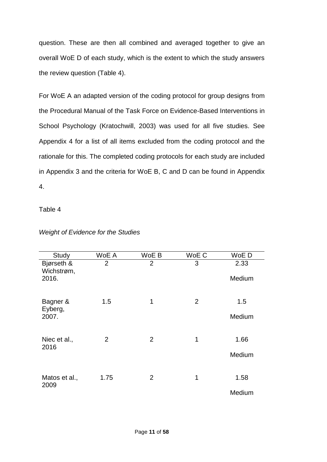question. These are then all combined and averaged together to give an overall WoE D of each study, which is the extent to which the study answers the review question (Table 4).

For WoE A an adapted version of the coding protocol for group designs from the Procedural Manual of the Task Force on Evidence-Based Interventions in School Psychology (Kratochwill, 2003) was used for all five studies. See Appendix 4 for a list of all items excluded from the coding protocol and the rationale for this. The completed coding protocols for each study are included in Appendix 3 and the criteria for WoE B, C and D can be found in Appendix 4.

Table 4

| Study                    | WoE A          | WoE B          | WoE C          | WoE D  |
|--------------------------|----------------|----------------|----------------|--------|
| Bjørseth &<br>Wichstrøm, | $\overline{2}$ | $\overline{2}$ | 3              | 2.33   |
| 2016.                    |                |                |                | Medium |
| Bagner &<br>Eyberg,      | 1.5            | 1              | $\overline{2}$ | 1.5    |
| 2007.                    |                |                |                | Medium |
| Niec et al.,<br>2016     | $\overline{2}$ | $\overline{2}$ | 1              | 1.66   |
|                          |                |                |                | Medium |
| Matos et al.,<br>2009    | 1.75           | $\overline{2}$ | 1              | 1.58   |
|                          |                |                |                | Medium |

### *Weight of Evidence for the Studies*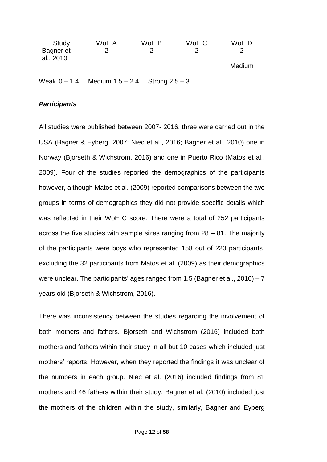| Study                  | WoE A | WoE B | WoE C | WoE D  |
|------------------------|-------|-------|-------|--------|
| Bagner et<br>al., 2010 |       |       |       |        |
|                        |       |       |       | Medium |
|                        |       |       |       |        |

Weak 0 – 1.4 Medium 1.5 – 2.4 Strong 2.5 – 3

#### *Participants*

All studies were published between 2007- 2016, three were carried out in the USA (Bagner & Eyberg, 2007; Niec et al., 2016; Bagner et al., 2010) one in Norway (Bjorseth & Wichstrom, 2016) and one in Puerto Rico (Matos et al., 2009). Four of the studies reported the demographics of the participants however, although Matos et al. (2009) reported comparisons between the two groups in terms of demographics they did not provide specific details which was reflected in their WoE C score. There were a total of 252 participants across the five studies with sample sizes ranging from  $28 - 81$ . The majority of the participants were boys who represented 158 out of 220 participants, excluding the 32 participants from Matos et al. (2009) as their demographics were unclear. The participants' ages ranged from 1.5 (Bagner et al., 2010) – 7 years old (Bjorseth & Wichstrom, 2016).

There was inconsistency between the studies regarding the involvement of both mothers and fathers. Bjorseth and Wichstrom (2016) included both mothers and fathers within their study in all but 10 cases which included just mothers' reports. However, when they reported the findings it was unclear of the numbers in each group. Niec et al. (2016) included findings from 81 mothers and 46 fathers within their study. Bagner et al. (2010) included just the mothers of the children within the study, similarly, Bagner and Eyberg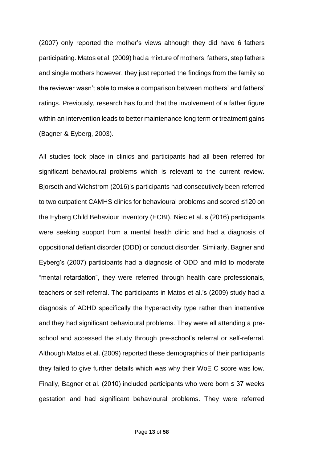(2007) only reported the mother's views although they did have 6 fathers participating. Matos et al. (2009) had a mixture of mothers, fathers, step fathers and single mothers however, they just reported the findings from the family so the reviewer wasn't able to make a comparison between mothers' and fathers' ratings. Previously, research has found that the involvement of a father figure within an intervention leads to better maintenance long term or treatment gains (Bagner & Eyberg, 2003).

All studies took place in clinics and participants had all been referred for significant behavioural problems which is relevant to the current review. Bjorseth and Wichstrom (2016)'s participants had consecutively been referred to two outpatient CAMHS clinics for behavioural problems and scored ≤120 on the Eyberg Child Behaviour Inventory (ECBI). Niec et al.'s (2016) participants were seeking support from a mental health clinic and had a diagnosis of oppositional defiant disorder (ODD) or conduct disorder. Similarly, Bagner and Eyberg's (2007) participants had a diagnosis of ODD and mild to moderate "mental retardation", they were referred through health care professionals, teachers or self-referral. The participants in Matos et al.'s (2009) study had a diagnosis of ADHD specifically the hyperactivity type rather than inattentive and they had significant behavioural problems. They were all attending a preschool and accessed the study through pre-school's referral or self-referral. Although Matos et al. (2009) reported these demographics of their participants they failed to give further details which was why their WoE C score was low. Finally, Bagner et al. (2010) included participants who were born ≤ 37 weeks gestation and had significant behavioural problems. They were referred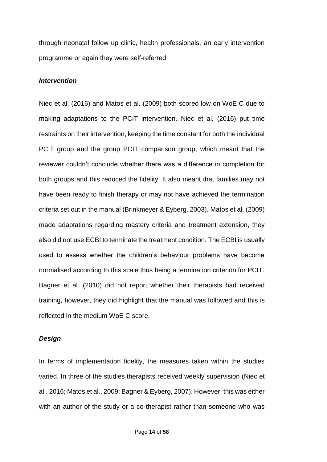through neonatal follow up clinic, health professionals, an early intervention programme or again they were self-referred.

#### *Intervention*

Niec et al. (2016) and Matos et al. (2009) both scored low on WoE C due to making adaptations to the PCIT intervention. Niec et al. (2016) put time restraints on their intervention, keeping the time constant for both the individual PCIT group and the group PCIT comparison group, which meant that the reviewer couldn't conclude whether there was a difference in completion for both groups and this reduced the fidelity. It also meant that families may not have been ready to finish therapy or may not have achieved the termination criteria set out in the manual (Brinkmeyer & Eyberg, 2003). Matos et al. (2009) made adaptations regarding mastery criteria and treatment extension, they also did not use ECBI to terminate the treatment condition. The ECBI is usually used to assess whether the children's behaviour problems have become normalised according to this scale thus being a termination criterion for PCIT. Bagner et al. (2010) did not report whether their therapists had received training, however, they did highlight that the manual was followed and this is reflected in the medium WoE C score.

#### *Design*

In terms of implementation fidelity, the measures taken within the studies varied. In three of the studies therapists received weekly supervision (Niec et al., 2016; Matos et al., 2009; Bagner & Eyberg, 2007). However, this was either with an author of the study or a co-therapist rather than someone who was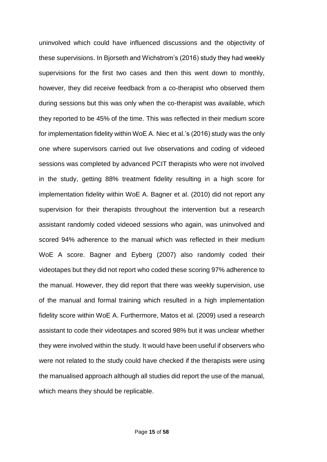uninvolved which could have influenced discussions and the objectivity of these supervisions. In Bjorseth and Wichstrom's (2016) study they had weekly supervisions for the first two cases and then this went down to monthly, however, they did receive feedback from a co-therapist who observed them during sessions but this was only when the co-therapist was available, which they reported to be 45% of the time. This was reflected in their medium score for implementation fidelity within WoE A. Niec et al.'s (2016) study was the only one where supervisors carried out live observations and coding of videoed sessions was completed by advanced PCIT therapists who were not involved in the study, getting 88% treatment fidelity resulting in a high score for implementation fidelity within WoE A. Bagner et al. (2010) did not report any supervision for their therapists throughout the intervention but a research assistant randomly coded videoed sessions who again, was uninvolved and scored 94% adherence to the manual which was reflected in their medium WoE A score. Bagner and Eyberg (2007) also randomly coded their videotapes but they did not report who coded these scoring 97% adherence to the manual. However, they did report that there was weekly supervision, use of the manual and formal training which resulted in a high implementation fidelity score within WoE A. Furthermore, Matos et al. (2009) used a research assistant to code their videotapes and scored 98% but it was unclear whether they were involved within the study. It would have been useful if observers who were not related to the study could have checked if the therapists were using the manualised approach although all studies did report the use of the manual, which means they should be replicable.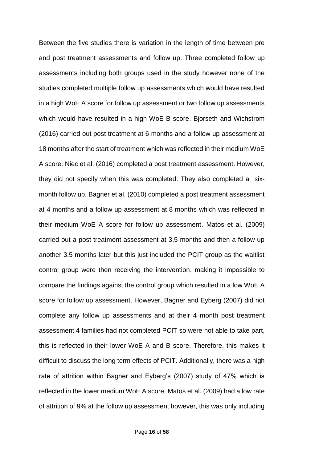Between the five studies there is variation in the length of time between pre and post treatment assessments and follow up. Three completed follow up assessments including both groups used in the study however none of the studies completed multiple follow up assessments which would have resulted in a high WoE A score for follow up assessment or two follow up assessments which would have resulted in a high WoE B score. Bjorseth and Wichstrom (2016) carried out post treatment at 6 months and a follow up assessment at 18 months after the start of treatment which was reflected in their medium WoE A score. Niec et al. (2016) completed a post treatment assessment. However, they did not specify when this was completed. They also completed a sixmonth follow up. Bagner et al. (2010) completed a post treatment assessment at 4 months and a follow up assessment at 8 months which was reflected in their medium WoE A score for follow up assessment. Matos et al. (2009) carried out a post treatment assessment at 3.5 months and then a follow up another 3.5 months later but this just included the PCIT group as the waitlist control group were then receiving the intervention, making it impossible to compare the findings against the control group which resulted in a low WoE A score for follow up assessment. However, Bagner and Eyberg (2007) did not complete any follow up assessments and at their 4 month post treatment assessment 4 families had not completed PCIT so were not able to take part, this is reflected in their lower WoE A and B score. Therefore, this makes it difficult to discuss the long term effects of PCIT. Additionally, there was a high rate of attrition within Bagner and Eyberg's (2007) study of 47% which is reflected in the lower medium WoE A score. Matos et al. (2009) had a low rate of attrition of 9% at the follow up assessment however, this was only including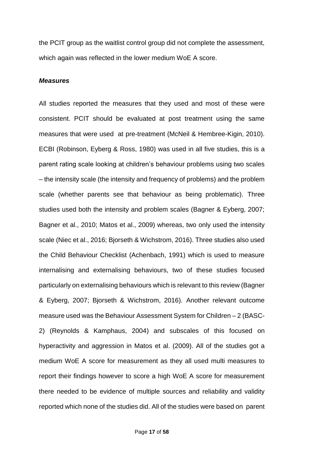the PCIT group as the waitlist control group did not complete the assessment, which again was reflected in the lower medium WoE A score.

#### *Measures*

All studies reported the measures that they used and most of these were consistent. PCIT should be evaluated at post treatment using the same measures that were used at pre-treatment (McNeil & Hembree-Kigin, 2010). ECBI (Robinson, Eyberg & Ross, 1980) was used in all five studies, this is a parent rating scale looking at children's behaviour problems using two scales – the intensity scale (the intensity and frequency of problems) and the problem scale (whether parents see that behaviour as being problematic). Three studies used both the intensity and problem scales (Bagner & Eyberg, 2007; Bagner et al., 2010; Matos et al., 2009) whereas, two only used the intensity scale (Niec et al., 2016; Bjorseth & Wichstrom, 2016). Three studies also used the Child Behaviour Checklist (Achenbach, 1991) which is used to measure internalising and externalising behaviours, two of these studies focused particularly on externalising behaviours which is relevant to this review (Bagner & Eyberg, 2007; Bjorseth & Wichstrom, 2016). Another relevant outcome measure used was the Behaviour Assessment System for Children – 2 (BASC-2) (Reynolds & Kamphaus, 2004) and subscales of this focused on hyperactivity and aggression in Matos et al. (2009). All of the studies got a medium WoE A score for measurement as they all used multi measures to report their findings however to score a high WoE A score for measurement there needed to be evidence of multiple sources and reliability and validity reported which none of the studies did. All of the studies were based on parent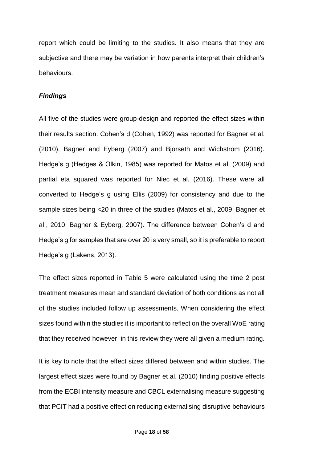report which could be limiting to the studies. It also means that they are subjective and there may be variation in how parents interpret their children's behaviours.

#### *Findings*

All five of the studies were group-design and reported the effect sizes within their results section. Cohen's d (Cohen, 1992) was reported for Bagner et al. (2010), Bagner and Eyberg (2007) and Bjorseth and Wichstrom (2016). Hedge's g (Hedges & Olkin, 1985) was reported for Matos et al. (2009) and partial eta squared was reported for Niec et al. (2016). These were all converted to Hedge's g using Ellis (2009) for consistency and due to the sample sizes being <20 in three of the studies (Matos et al., 2009; Bagner et al., 2010; Bagner & Eyberg, 2007). The difference between Cohen's d and Hedge's g for samples that are over 20 is very small, so it is preferable to report Hedge's g (Lakens, 2013).

The effect sizes reported in Table 5 were calculated using the time 2 post treatment measures mean and standard deviation of both conditions as not all of the studies included follow up assessments. When considering the effect sizes found within the studies it is important to reflect on the overall WoE rating that they received however, in this review they were all given a medium rating.

It is key to note that the effect sizes differed between and within studies. The largest effect sizes were found by Bagner et al. (2010) finding positive effects from the ECBI intensity measure and CBCL externalising measure suggesting that PCIT had a positive effect on reducing externalising disruptive behaviours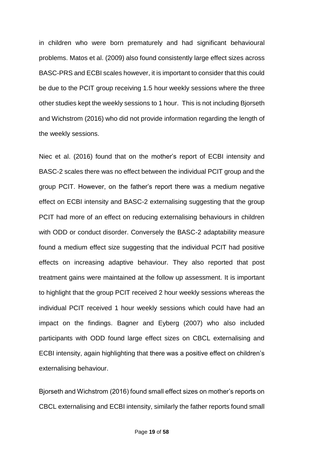in children who were born prematurely and had significant behavioural problems. Matos et al. (2009) also found consistently large effect sizes across BASC-PRS and ECBI scales however, it is important to consider that this could be due to the PCIT group receiving 1.5 hour weekly sessions where the three other studies kept the weekly sessions to 1 hour. This is not including Bjorseth and Wichstrom (2016) who did not provide information regarding the length of the weekly sessions.

Niec et al. (2016) found that on the mother's report of ECBI intensity and BASC-2 scales there was no effect between the individual PCIT group and the group PCIT. However, on the father's report there was a medium negative effect on ECBI intensity and BASC-2 externalising suggesting that the group PCIT had more of an effect on reducing externalising behaviours in children with ODD or conduct disorder. Conversely the BASC-2 adaptability measure found a medium effect size suggesting that the individual PCIT had positive effects on increasing adaptive behaviour. They also reported that post treatment gains were maintained at the follow up assessment. It is important to highlight that the group PCIT received 2 hour weekly sessions whereas the individual PCIT received 1 hour weekly sessions which could have had an impact on the findings. Bagner and Eyberg (2007) who also included participants with ODD found large effect sizes on CBCL externalising and ECBI intensity, again highlighting that there was a positive effect on children's externalising behaviour.

Bjorseth and Wichstrom (2016) found small effect sizes on mother's reports on CBCL externalising and ECBI intensity, similarly the father reports found small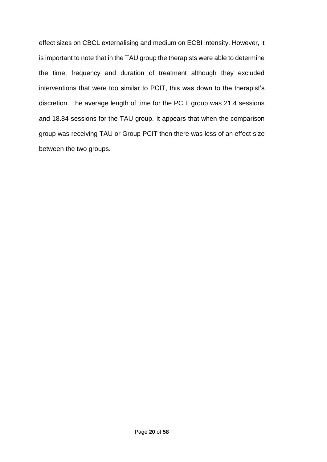effect sizes on CBCL externalising and medium on ECBI intensity. However, it is important to note that in the TAU group the therapists were able to determine the time, frequency and duration of treatment although they excluded interventions that were too similar to PCIT, this was down to the therapist's discretion. The average length of time for the PCIT group was 21.4 sessions and 18.84 sessions for the TAU group. It appears that when the comparison group was receiving TAU or Group PCIT then there was less of an effect size between the two groups.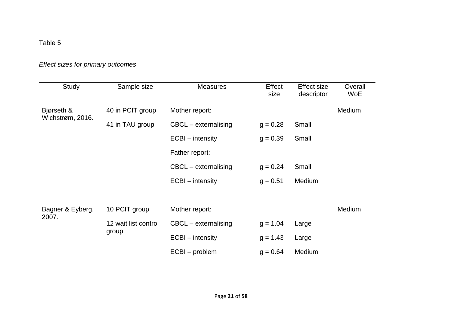# *Effect sizes for primary outcomes*

| Study                          | Sample size          | <b>Measures</b>        | Effect<br>size | <b>Effect size</b><br>descriptor | Overall<br><b>WoE</b> |
|--------------------------------|----------------------|------------------------|----------------|----------------------------------|-----------------------|
| Bjørseth &<br>Wichstrøm, 2016. | 40 in PCIT group     | Mother report:         |                |                                  | Medium                |
|                                | 41 in TAU group      | $CBCL - externalising$ | $g = 0.28$     | Small                            |                       |
|                                |                      | ECBI – intensity       | $g = 0.39$     | Small                            |                       |
|                                |                      | Father report:         |                |                                  |                       |
|                                |                      | $CBCL - externalising$ | $g = 0.24$     | Small                            |                       |
|                                |                      | ECBI – intensity       | $g = 0.51$     | Medium                           |                       |
|                                |                      |                        |                |                                  |                       |
| Bagner & Eyberg,               | 10 PCIT group        | Mother report:         |                |                                  | Medium                |
| 2007.                          | 12 wait list control | CBCL - externalising   | $g = 1.04$     | Large                            |                       |
|                                | group                | ECBI – intensity       | $g = 1.43$     | Large                            |                       |
|                                |                      | ECBI – problem         | $g = 0.64$     | Medium                           |                       |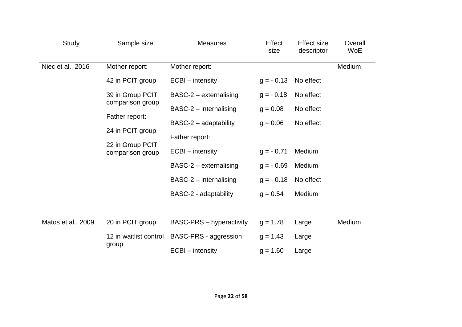| Study              | Sample size                          | <b>Measures</b>                 | Effect<br>size | <b>Effect size</b><br>descriptor | Overall<br>WoE |
|--------------------|--------------------------------------|---------------------------------|----------------|----------------------------------|----------------|
| Niec et al., 2016  | Mother report:                       | Mother report:                  |                |                                  | Medium         |
|                    | 42 in PCIT group                     | ECBI – intensity                | $g = -0.13$    | No effect                        |                |
|                    | 39 in Group PCIT                     | BASC-2 – externalising          | $g = -0.18$    | No effect                        |                |
|                    | comparison group                     | $BASC-2$ – internalising        | $q = 0.08$     | No effect                        |                |
|                    | Father report:                       | BASC-2 - adaptability           | $g = 0.06$     | No effect                        |                |
|                    | 24 in PCIT group                     | Father report:                  |                |                                  |                |
|                    | 22 in Group PCIT<br>comparison group | ECBI – intensity                | $g = -0.71$    | Medium                           |                |
|                    |                                      | BASC-2 - externalising          | $g = -0.69$    | Medium                           |                |
|                    |                                      | $BASC-2$ – internalising        | $g = -0.18$    | No effect                        |                |
|                    |                                      | BASC-2 - adaptability           | $g = 0.54$     | Medium                           |                |
|                    |                                      |                                 |                |                                  |                |
| Matos et al., 2009 | 20 in PCIT group                     | <b>BASC-PRS</b> – hyperactivity | $g = 1.78$     | Large                            | Medium         |
|                    | 12 in waitlist control               | BASC-PRS - aggression           | $g = 1.43$     | Large                            |                |
|                    | group                                | ECBI – intensity                | $g = 1.60$     | Large                            |                |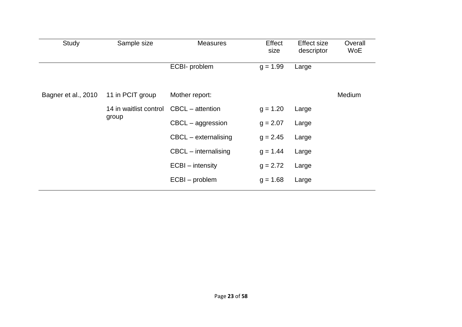| Study               | Sample size            | <b>Measures</b>        | Effect<br>size | <b>Effect size</b><br>descriptor | Overall<br>WoE |
|---------------------|------------------------|------------------------|----------------|----------------------------------|----------------|
|                     |                        | ECBI- problem          | $g = 1.99$     | Large                            |                |
| Bagner et al., 2010 | 11 in PCIT group       | Mother report:         |                |                                  | Medium         |
|                     | 14 in waitlist control | $CBCL - attention$     | $g = 1.20$     | Large                            |                |
|                     | group                  | CBCL - aggression      | $q = 2.07$     | Large                            |                |
|                     |                        | CBCL - externalising   | $g = 2.45$     | Large                            |                |
|                     |                        | $CBCL$ – internalising | $q = 1.44$     | Large                            |                |
|                     |                        | ECBI - intensity       | $g = 2.72$     | Large                            |                |
|                     |                        | ECBI - problem         | $g = 1.68$     | Large                            |                |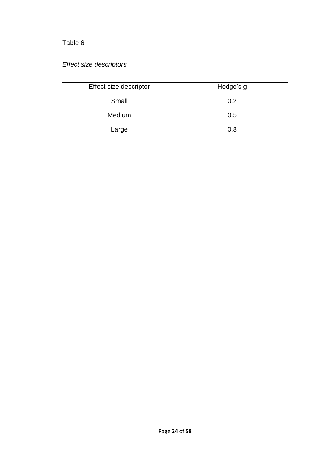# *Effect size descriptors*

| Effect size descriptor | Hedge's g |
|------------------------|-----------|
| Small                  | 0.2       |
| Medium                 | 0.5       |
| Large                  | 0.8       |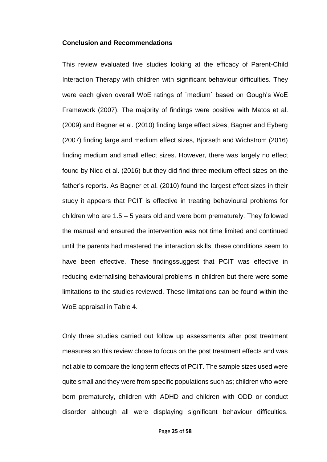#### **Conclusion and Recommendations**

This review evaluated five studies looking at the efficacy of Parent-Child Interaction Therapy with children with significant behaviour difficulties. They were each given overall WoE ratings of `medium` based on Gough's WoE Framework (2007). The majority of findings were positive with Matos et al. (2009) and Bagner et al. (2010) finding large effect sizes, Bagner and Eyberg (2007) finding large and medium effect sizes, Bjorseth and Wichstrom (2016) finding medium and small effect sizes. However, there was largely no effect found by Niec et al. (2016) but they did find three medium effect sizes on the father's reports. As Bagner et al. (2010) found the largest effect sizes in their study it appears that PCIT is effective in treating behavioural problems for children who are 1.5 – 5 years old and were born prematurely. They followed the manual and ensured the intervention was not time limited and continued until the parents had mastered the interaction skills, these conditions seem to have been effective. These findingssuggest that PCIT was effective in reducing externalising behavioural problems in children but there were some limitations to the studies reviewed. These limitations can be found within the WoE appraisal in Table 4.

Only three studies carried out follow up assessments after post treatment measures so this review chose to focus on the post treatment effects and was not able to compare the long term effects of PCIT. The sample sizes used were quite small and they were from specific populations such as; children who were born prematurely, children with ADHD and children with ODD or conduct disorder although all were displaying significant behaviour difficulties.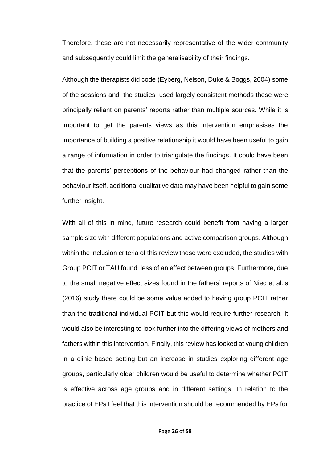Therefore, these are not necessarily representative of the wider community and subsequently could limit the generalisability of their findings.

Although the therapists did code (Eyberg, Nelson, Duke & Boggs, 2004) some of the sessions and the studies used largely consistent methods these were principally reliant on parents' reports rather than multiple sources. While it is important to get the parents views as this intervention emphasises the importance of building a positive relationship it would have been useful to gain a range of information in order to triangulate the findings. It could have been that the parents' perceptions of the behaviour had changed rather than the behaviour itself, additional qualitative data may have been helpful to gain some further insight.

With all of this in mind, future research could benefit from having a larger sample size with different populations and active comparison groups. Although within the inclusion criteria of this review these were excluded, the studies with Group PCIT or TAU found less of an effect between groups. Furthermore, due to the small negative effect sizes found in the fathers' reports of Niec et al.'s (2016) study there could be some value added to having group PCIT rather than the traditional individual PCIT but this would require further research. It would also be interesting to look further into the differing views of mothers and fathers within this intervention. Finally, this review has looked at young children in a clinic based setting but an increase in studies exploring different age groups, particularly older children would be useful to determine whether PCIT is effective across age groups and in different settings. In relation to the practice of EPs I feel that this intervention should be recommended by EPs for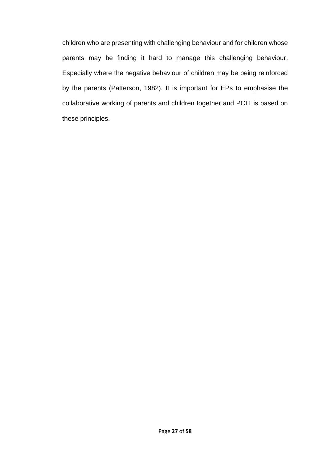children who are presenting with challenging behaviour and for children whose parents may be finding it hard to manage this challenging behaviour. Especially where the negative behaviour of children may be being reinforced by the parents (Patterson, 1982). It is important for EPs to emphasise the collaborative working of parents and children together and PCIT is based on these principles.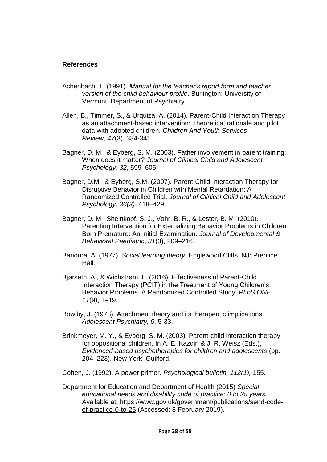#### **References**

- Achenbach, T. (1991). *Manual for the teacher's report form and teacher version of the child behaviour profile*. Burlington: University of Vermont, Department of Psychiatry.
- Allen, B., Timmer, S., & Urquiza, A. (2014). Parent-Child Interaction Therapy as an attachment-based intervention: Theoretical rationale and pilot data with adopted children. *Children And Youth Services Review, 47*(3), 334-341.
- Bagner, D. M., & Eyberg, S. M. (2003). Father involvement in parent training: When does it matter? *Journal of Clinical Child and Adolescent Psychology, 32*, 599–605.
- Bagner, D.M., & Eyberg, S.M. (2007). Parent-Child Interaction Therapy for Disruptive Behavior in Children with Mental Retardation: A Randomized Controlled Trial. *Journal of Clinical Child and Adolescent Psychology, 36(3)*, 418–429.
- Bagner, D. M., Sheinkopf, S. J., Vohr, B. R., & Lester, B. M. (2010). Parenting Intervention for Externalizing Behavior Problems in Children Born Premature: An Initial Examination. *Journal of Developmental & Behavioral Paediatric*, *31*(3), 209–216.
- Bandura, A. (1977). *Social learning theory*. Englewood Cliffs, NJ: Prentice Hall.
- Bjørseth, Å., & Wichstrøm, L. (2016). Effectiveness of Parent-Child Interaction Therapy (PCIT) in the Treatment of Young Children's Behavior Problems. A Randomized Controlled Study. *PLoS ONE*, *11*(9), 1–19.
- Bowlby, J. (1978). Attachment theory and its therapeutic implications. *Adolescent Psychiatry, 6*, 5-33.
- Brinkmeyer, M. Y., & Eyberg, S. M. (2003). Parent-child interaction therapy for oppositional children. In A. E. Kazdin & J. R. Weisz (Eds.), *Evidenced-based psychotherapies for children and adolescents* (pp. 204–223). New York: Guilford.
- Cohen, J. (1992). A power primer. *Psychological bulletin, 112(1),* 155.
- Department for Education and Department of Health (2015) *Special educational needs and disability code of practice: 0 to 25 years*. Available at: [https://www.gov.uk/government/publications/send-code](https://www.gov.uk/government/publications/send-code-of-practice-0-to-25)[of-practice-0-to-25](https://www.gov.uk/government/publications/send-code-of-practice-0-to-25) (Accessed: 8 February 2019).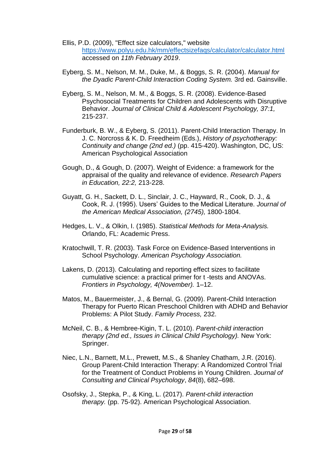- Ellis, P.D. (2009), "Effect size calculators," website <https://www.polyu.edu.hk/mm/effectsizefaqs/calculator/calculator.html> accessed on *11th February 2019*.
- Eyberg, S. M., Nelson, M. M., Duke, M., & Boggs, S. R. (2004). *Manual for the Dyadic Parent-Child Interaction Coding System.* 3rd ed. Gainsville.
- Eyberg, S. M., Nelson, M. M., & Boggs, S. R. (2008). Evidence-Based Psychosocial Treatments for Children and Adolescents with Disruptive Behavior. *Journal of Clinical Child & Adolescent Psychology, 37:1,*  215-237.
- Funderburk, B. W., & Eyberg, S. (2011). Parent-Child Interaction Therapy. In J. C. Norcross & K. D. Freedheim (Eds.), *History of psychotherapy: Continuity and change (2nd ed.)* (pp. 415-420). Washington, DC, US: American Psychological Association
- Gough, D., & Gough, D. (2007). Weight of Evidence: a framework for the appraisal of the quality and relevance of evidence. *Research Papers in Education, 22:2,* 213-228.
- Guyatt, G. H., Sackett, D. L., Sinclair, J. C., Hayward, R., Cook, D. J., & Cook, R. J. (1995). Users' Guides to the Medical Literature. *Journal of the American Medical Association, (2745),* 1800-1804.
- Hedges, L. V., & Olkin, I. (1985). *Statistical Methods for Meta-Analysis.*  Orlando, FL: Academic Press.
- Kratochwill, T. R. (2003). Task Force on Evidence-Based Interventions in School Psychology. *American Psychology Association.*
- Lakens, D. (2013). Calculating and reporting effect sizes to facilitate cumulative science: a practical primer for t -tests and ANOVAs. *Frontiers in Psychology, 4(November).* 1–12.
- Matos, M., Bauermeister, J., & Bernal, G. (2009). Parent-Child Interaction Therapy for Puerto Rican Preschool Children with ADHD and Behavior Problems: A Pilot Study. *Family Process,* 232.
- McNeil, C. B., & Hembree-Kigin, T. L. (2010). *Parent-child interaction therapy (2nd ed., Issues in Clinical Child Psychology).* New York: Springer.
- Niec, L.N., Barnett, M.L., Prewett, M.S., & Shanley Chatham, J.R. (2016). Group Parent-Child Interaction Therapy: A Randomized Control Trial for the Treatment of Conduct Problems in Young Children. *Journal of Consulting and Clinical Psychology*, *84*(8), 682–698.
- Osofsky, J., Stepka, P., & King, L. (2017). *Parent-child interaction therapy.* (pp. 75-92). American Psychological Association.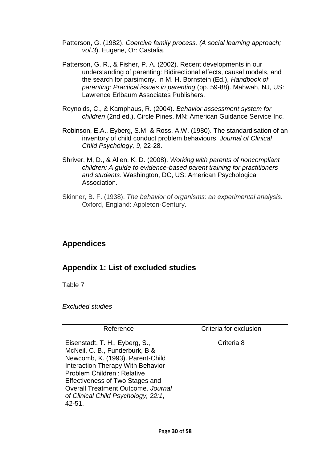- Patterson, G. (1982). *Coercive family process. (A social learning approach; vol.3*). Eugene, Or: Castalia.
- Patterson, G. R., & Fisher, P. A. (2002). Recent developments in our understanding of parenting: Bidirectional effects, causal models, and the search for parsimony. In M. H. Bornstein (Ed.), *Handbook of parenting: Practical issues in parenting* (pp. 59-88). Mahwah, NJ, US: Lawrence Erlbaum Associates Publishers.
- Reynolds, C., & Kamphaus, R. (2004). *Behavior assessment system for children* (2nd ed.). Circle Pines, MN: American Guidance Service Inc.
- Robinson, E.A., Eyberg, S.M. & Ross, A.W. (1980). The standardisation of an inventory of child conduct problem behaviours. *Journal of Clinical Child Psychology, 9*, 22-28.
- Shriver, M, D., & Allen, K. D. (2008). *Working with parents of noncompliant children: A guide to evidence-based parent training for practitioners and students*. Washington, DC, US: American Psychological Association.
- Skinner, B. F. (1938). *The behavior of organisms: an experimental analysis.*  Oxford, England: Appleton-Century.

# **Appendices**

# **Appendix 1: List of excluded studies**

Table 7

*Excluded studies* 

| Reference                                                                                                                                                                                                                                                                                                    | Criteria for exclusion |
|--------------------------------------------------------------------------------------------------------------------------------------------------------------------------------------------------------------------------------------------------------------------------------------------------------------|------------------------|
| Eisenstadt, T. H., Eyberg, S.,<br>McNeil, C. B., Funderburk, B &<br>Newcomb, K. (1993). Parent-Child<br><b>Interaction Therapy With Behavior</b><br>Problem Children: Relative<br>Effectiveness of Two Stages and<br>Overall Treatment Outcome, Journal<br>of Clinical Child Psychology, 22:1,<br>$42 - 51.$ | Criteria 8             |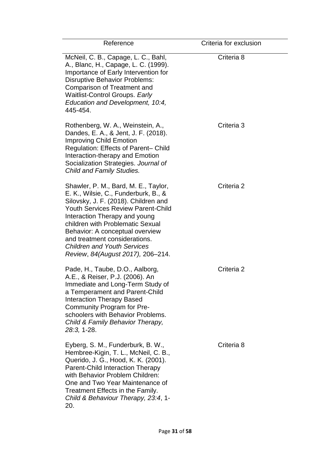| Reference                                                                                                                                                                                                                                                                                                                                                                             | Criteria for exclusion |
|---------------------------------------------------------------------------------------------------------------------------------------------------------------------------------------------------------------------------------------------------------------------------------------------------------------------------------------------------------------------------------------|------------------------|
| McNeil, C. B., Capage, L. C., Bahl,<br>A., Blanc, H., Capage, L. C. (1999).<br>Importance of Early Intervention for<br><b>Disruptive Behavior Problems:</b><br>Comparison of Treatment and<br>Waitlist-Control Groups. Early<br>Education and Development, 10:4,<br>445-454.                                                                                                          | Criteria 8             |
| Rothenberg, W. A., Weinstein, A.,<br>Dandes, E. A., & Jent, J. F. (2018).<br><b>Improving Child Emotion</b><br>Regulation: Effects of Parent- Child<br>Interaction-therapy and Emotion<br>Socialization Strategies. Journal of<br><b>Child and Family Studies.</b>                                                                                                                    | Criteria <sub>3</sub>  |
| Shawler, P. M., Bard, M. E., Taylor,<br>E. K., Wilsie, C., Funderburk, B., &<br>Silovsky, J. F. (2018). Children and<br><b>Youth Services Review Parent-Child</b><br>Interaction Therapy and young<br>children with Problematic Sexual<br>Behavior: A conceptual overview<br>and treatment considerations.<br><b>Children and Youth Services</b><br>Review, 84(August 2017), 206-214. | Criteria 2             |
| Pade, H., Taube, D.O., Aalborg,<br>A.E., & Reiser, P.J. (2006). An<br>Immediate and Long-Term Study of<br>a Temperament and Parent-Child<br><b>Interaction Therapy Based</b><br>Community Program for Pre-<br>schoolers with Behavior Problems.<br>Child & Family Behavior Therapy,<br>$28:3, 1-28.$                                                                                  | Criteria 2             |
| Eyberg, S. M., Funderburk, B. W.,<br>Hembree-Kigin, T. L., McNeil, C. B.,<br>Querido, J. G., Hood, K. K. (2001).<br>Parent-Child Interaction Therapy<br>with Behavior Problem Children:<br>One and Two Year Maintenance of<br>Treatment Effects in the Family.<br>Child & Behaviour Therapy, 23:4, 1-<br>20.                                                                          | Criteria <sub>8</sub>  |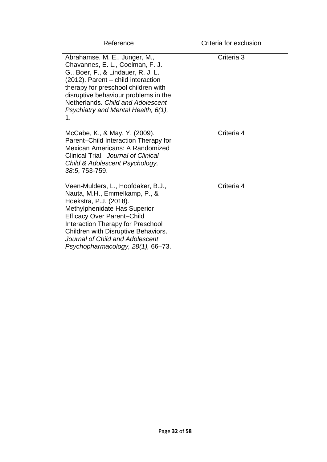| Reference                                                                                                                                                                                                                                                                                                              | Criteria for exclusion |
|------------------------------------------------------------------------------------------------------------------------------------------------------------------------------------------------------------------------------------------------------------------------------------------------------------------------|------------------------|
| Abrahamse, M. E., Junger, M.,<br>Chavannes, E. L., Coelman, F. J.<br>G., Boer, F., & Lindauer, R. J. L.<br>(2012). Parent - child interaction<br>therapy for preschool children with<br>disruptive behaviour problems in the<br>Netherlands, Child and Adolescent<br>Psychiatry and Mental Health, 6(1),<br>1.         | Criteria <sub>3</sub>  |
| McCabe, K., & May, Y. (2009).<br>Parent-Child Interaction Therapy for<br>Mexican Americans: A Randomized<br>Clinical Trial. Journal of Clinical<br>Child & Adolescent Psychology,<br>38:5, 753-759.                                                                                                                    | Criteria 4             |
| Veen-Mulders, L., Hoofdaker, B.J.,<br>Nauta, M.H., Emmelkamp, P., &<br>Hoekstra, P.J. (2018).<br>Methylphenidate Has Superior<br><b>Efficacy Over Parent-Child</b><br>Interaction Therapy for Preschool<br>Children with Disruptive Behaviors.<br>Journal of Child and Adolescent<br>Psychopharmacology, 28(1), 66-73. | Criteria 4             |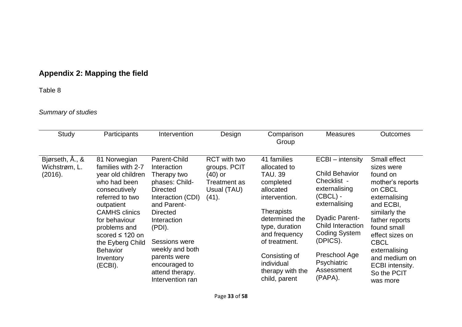# **Appendix 2: Mapping the field**

# Table 8

# *Summary of studies*

| Study                                       | Participants                                                                                                                                                                                                                                                             | Intervention                                                                                                                                                                                                                                                                | Design                                                                                          | Comparison<br>Group                                                                                                                                                                                                                                     | <b>Measures</b>                                                                                                                                                                                                                                            | <b>Outcomes</b>                                                                                                                                                                                                                                                         |
|---------------------------------------------|--------------------------------------------------------------------------------------------------------------------------------------------------------------------------------------------------------------------------------------------------------------------------|-----------------------------------------------------------------------------------------------------------------------------------------------------------------------------------------------------------------------------------------------------------------------------|-------------------------------------------------------------------------------------------------|---------------------------------------------------------------------------------------------------------------------------------------------------------------------------------------------------------------------------------------------------------|------------------------------------------------------------------------------------------------------------------------------------------------------------------------------------------------------------------------------------------------------------|-------------------------------------------------------------------------------------------------------------------------------------------------------------------------------------------------------------------------------------------------------------------------|
| Bjørseth, Å., &<br>Wichstrøm, L.<br>(2016). | 81 Norwegian<br>families with 2-7<br>year old children<br>who had been<br>consecutively<br>referred to two<br>outpatient<br><b>CAMHS</b> clinics<br>for behaviour<br>problems and<br>scored $\leq$ 120 on<br>the Eyberg Child<br><b>Behavior</b><br>Inventory<br>(ECBI). | Parent-Child<br>Interaction<br>Therapy two<br>phases: Child-<br><b>Directed</b><br>Interaction (CDI)<br>and Parent-<br><b>Directed</b><br>Interaction<br>(PDI).<br>Sessions were<br>weekly and both<br>parents were<br>encouraged to<br>attend therapy.<br>Intervention ran | <b>RCT</b> with two<br>groups. PCIT<br>$(40)$ or<br><b>Treatment as</b><br>Usual (TAU)<br>(41). | 41 families<br>allocated to<br><b>TAU. 39</b><br>completed<br>allocated<br>intervention.<br><b>Therapists</b><br>determined the<br>type, duration<br>and frequency<br>of treatment.<br>Consisting of<br>individual<br>therapy with the<br>child, parent | ECBI – intensity<br><b>Child Behavior</b><br>Checklist -<br>externalising<br>$(CBCL) -$<br>externalising<br><b>Dyadic Parent-</b><br><b>Child Interaction</b><br><b>Coding System</b><br>(DPICS).<br>Preschool Age<br>Psychiatric<br>Assessment<br>(PAPA). | Small effect<br>sizes were<br>found on<br>mother's reports<br>on CBCL<br>externalising<br>and ECBI,<br>similarly the<br>father reports<br>found small<br>effect sizes on<br><b>CBCL</b><br>externalising<br>and medium on<br>ECBI intensity.<br>So the PCIT<br>was more |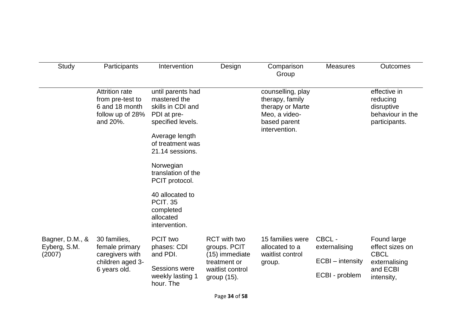| Study                                     | Participants                                                                                | Intervention                                                                                                                                                                                                                                                                              | Design                                                                                                      | Comparison<br>Group                                                                                        | <b>Measures</b>                                              | <b>Outcomes</b>                                                                          |
|-------------------------------------------|---------------------------------------------------------------------------------------------|-------------------------------------------------------------------------------------------------------------------------------------------------------------------------------------------------------------------------------------------------------------------------------------------|-------------------------------------------------------------------------------------------------------------|------------------------------------------------------------------------------------------------------------|--------------------------------------------------------------|------------------------------------------------------------------------------------------|
|                                           | <b>Attrition rate</b><br>from pre-test to<br>6 and 18 month<br>follow up of 28%<br>and 20%. | until parents had<br>mastered the<br>skills in CDI and<br>PDI at pre-<br>specified levels.<br>Average length<br>of treatment was<br>21.14 sessions.<br>Norwegian<br>translation of the<br>PCIT protocol.<br>40 allocated to<br><b>PCIT. 35</b><br>completed<br>allocated<br>intervention. |                                                                                                             | counselling, play<br>therapy, family<br>therapy or Marte<br>Meo, a video-<br>based parent<br>intervention. |                                                              | effective in<br>reducing<br>disruptive<br>behaviour in the<br>participants.              |
| Bagner, D.M., &<br>Eyberg, S.M.<br>(2007) | 30 families,<br>female primary<br>caregivers with<br>children aged 3-<br>6 years old.       | PCIT two<br>phases: CDI<br>and PDI.<br><b>Sessions were</b><br>weekly lasting 1<br>hour. The                                                                                                                                                                                              | <b>RCT</b> with two<br>groups. PCIT<br>(15) immediate<br>treatment or<br>waitlist control<br>group $(15)$ . | 15 families were<br>allocated to a<br>waitlist control<br>group.                                           | CBCL-<br>externalising<br>ECBI - intensity<br>ECBI - problem | Found large<br>effect sizes on<br><b>CBCL</b><br>externalising<br>and ECBI<br>intensity, |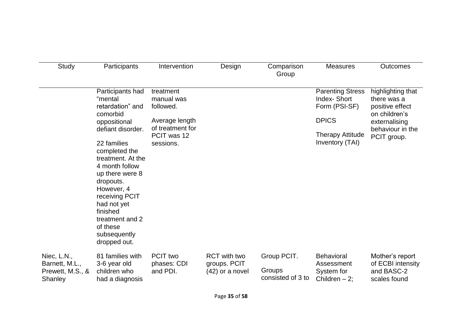| <b>Study</b>                                                        | Participants                                                                                                                                                                                                                                                                                                                      | Intervention                                                                                           | Design                                                   | Comparison<br>Group                        | <b>Measures</b>                                                                                                              | <b>Outcomes</b>                                                                                                          |
|---------------------------------------------------------------------|-----------------------------------------------------------------------------------------------------------------------------------------------------------------------------------------------------------------------------------------------------------------------------------------------------------------------------------|--------------------------------------------------------------------------------------------------------|----------------------------------------------------------|--------------------------------------------|------------------------------------------------------------------------------------------------------------------------------|--------------------------------------------------------------------------------------------------------------------------|
|                                                                     | Participants had<br>"mental<br>retardation" and<br>comorbid<br>oppositional<br>defiant disorder.<br>22 families<br>completed the<br>treatment. At the<br>4 month follow<br>up there were 8<br>dropouts.<br>However, 4<br>receiving PCIT<br>had not yet<br>finished<br>treatment and 2<br>of these<br>subsequently<br>dropped out. | treatment<br>manual was<br>followed.<br>Average length<br>of treatment for<br>PCIT was 12<br>sessions. |                                                          |                                            | <b>Parenting Stress</b><br><b>Index-Short</b><br>Form (PSI-SF)<br><b>DPICS</b><br><b>Therapy Attitude</b><br>Inventory (TAI) | highlighting that<br>there was a<br>positive effect<br>on children's<br>externalising<br>behaviour in the<br>PCIT group. |
| Niec, L.N.,<br>Barnett, M.L.,<br>Prewett, M.S., &<br><b>Shanley</b> | 81 families with<br>3-6 year old<br>children who<br>had a diagnosis                                                                                                                                                                                                                                                               | PCIT two<br>phases: CDI<br>and PDI.                                                                    | <b>RCT</b> with two<br>groups. PCIT<br>$(42)$ or a novel | Group PCIT.<br>Groups<br>consisted of 3 to | <b>Behavioral</b><br>Assessment<br>System for<br>Children $-2$ ;                                                             | Mother's report<br>of ECBI intensity<br>and BASC-2<br>scales found                                                       |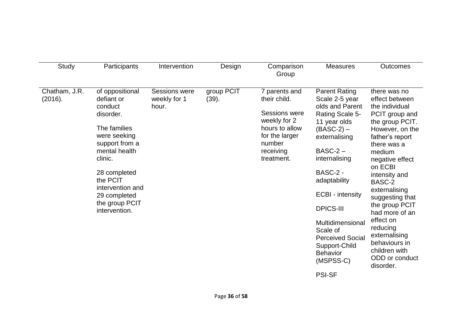| Study                    | Participants                                                                                                                                                                                                                           | Intervention                                  | Design              | Comparison<br>Group                                                                                                                     | <b>Measures</b>                                                                                                                                                                                                                                                                                                                                               | <b>Outcomes</b>                                                                                                                                                                                                                                                                                                                                                                                  |
|--------------------------|----------------------------------------------------------------------------------------------------------------------------------------------------------------------------------------------------------------------------------------|-----------------------------------------------|---------------------|-----------------------------------------------------------------------------------------------------------------------------------------|---------------------------------------------------------------------------------------------------------------------------------------------------------------------------------------------------------------------------------------------------------------------------------------------------------------------------------------------------------------|--------------------------------------------------------------------------------------------------------------------------------------------------------------------------------------------------------------------------------------------------------------------------------------------------------------------------------------------------------------------------------------------------|
| Chatham, J.R.<br>(2016). | of oppositional<br>defiant or<br>conduct<br>disorder.<br>The families<br>were seeking<br>support from a<br>mental health<br>clinic.<br>28 completed<br>the PCIT<br>intervention and<br>29 completed<br>the group PCIT<br>intervention. | <b>Sessions were</b><br>weekly for 1<br>hour. | group PCIT<br>(39). | 7 parents and<br>their child.<br>Sessions were<br>weekly for 2<br>hours to allow<br>for the larger<br>number<br>receiving<br>treatment. | <b>Parent Rating</b><br>Scale 2-5 year<br>olds and Parent<br>Rating Scale 5-<br>11 year olds<br>$(BASC-2)$ –<br>externalising<br>$BASC-2 -$<br>internalising<br>BASC-2 -<br>adaptability<br>ECBI - intensity<br><b>DPICS-III</b><br>Multidimensional<br>Scale of<br><b>Perceived Social</b><br>Support-Child<br><b>Behavior</b><br>(MSPSS-C)<br><b>PSI-SF</b> | there was no<br>effect between<br>the individual<br>PCIT group and<br>the group PCIT.<br>However, on the<br>father's report<br>there was a<br>medium<br>negative effect<br>on ECBI<br>intensity and<br>BASC-2<br>externalising<br>suggesting that<br>the group PCIT<br>had more of an<br>effect on<br>reducing<br>externalising<br>behaviours in<br>children with<br>ODD or conduct<br>disorder. |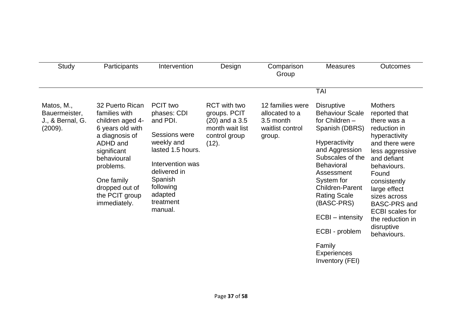| Study                                        | Participants                                                                                                                                                                                     | Intervention                                                                                                                                                               | Design                                                                        | Comparison<br>Group                                       | <b>Measures</b>                                                                                                                                                                                                                                                                | Outcomes                                                                                                                                                                                                                                                                             |
|----------------------------------------------|--------------------------------------------------------------------------------------------------------------------------------------------------------------------------------------------------|----------------------------------------------------------------------------------------------------------------------------------------------------------------------------|-------------------------------------------------------------------------------|-----------------------------------------------------------|--------------------------------------------------------------------------------------------------------------------------------------------------------------------------------------------------------------------------------------------------------------------------------|--------------------------------------------------------------------------------------------------------------------------------------------------------------------------------------------------------------------------------------------------------------------------------------|
| Matos, M.,                                   | 32 Puerto Rican                                                                                                                                                                                  | PCIT two                                                                                                                                                                   | <b>RCT</b> with two                                                           | 12 families were                                          | <b>TAI</b><br><b>Disruptive</b>                                                                                                                                                                                                                                                | <b>Mothers</b>                                                                                                                                                                                                                                                                       |
| Bauermeister,<br>J., & Bernal, G.<br>(2009). | families with<br>children aged 4-<br>6 years old with<br>a diagnosis of<br>ADHD and<br>significant<br>behavioural<br>problems.<br>One family<br>dropped out of<br>the PCIT group<br>immediately. | phases: CDI<br>and PDI.<br>Sessions were<br>weekly and<br>lasted 1.5 hours.<br>Intervention was<br>delivered in<br>Spanish<br>following<br>adapted<br>treatment<br>manual. | groups. PCIT<br>$(20)$ and a 3.5<br>month wait list<br>control group<br>(12). | allocated to a<br>3.5 month<br>waitlist control<br>group. | <b>Behaviour Scale</b><br>for Children -<br>Spanish (DBRS)<br><b>Hyperactivity</b><br>and Aggression<br>Subscales of the<br><b>Behavioral</b><br>Assessment<br>System for<br><b>Children-Parent</b><br><b>Rating Scale</b><br>(BASC-PRS)<br>ECBI - intensity<br>ECBI - problem | reported that<br>there was a<br>reduction in<br>hyperactivity<br>and there were<br>less aggressive<br>and defiant<br>behaviours.<br>Found<br>consistently<br>large effect<br>sizes across<br>BASC-PRS and<br><b>ECBI</b> scales for<br>the reduction in<br>disruptive<br>behaviours. |

Family **Experiences** Inventory (FEI)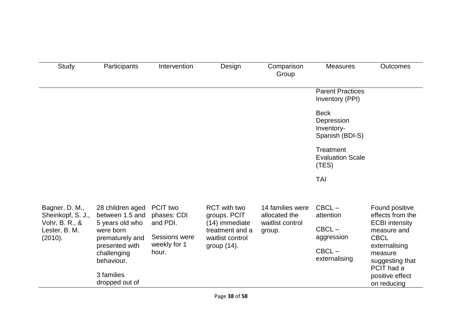| Study                                                                                                                      | Participants                                                        | Intervention                        | Design                                                                   | Comparison<br>Group                                             | <b>Measures</b>                                            | <b>Outcomes</b>                                                            |
|----------------------------------------------------------------------------------------------------------------------------|---------------------------------------------------------------------|-------------------------------------|--------------------------------------------------------------------------|-----------------------------------------------------------------|------------------------------------------------------------|----------------------------------------------------------------------------|
|                                                                                                                            |                                                                     |                                     |                                                                          |                                                                 | <b>Parent Practices</b><br>Inventory (PPI)                 |                                                                            |
|                                                                                                                            |                                                                     |                                     |                                                                          |                                                                 | <b>Beck</b><br>Depression<br>Inventory-<br>Spanish (BDI-S) |                                                                            |
|                                                                                                                            |                                                                     |                                     |                                                                          |                                                                 | Treatment<br><b>Evaluation Scale</b><br>(TES)              |                                                                            |
|                                                                                                                            |                                                                     |                                     |                                                                          |                                                                 | <b>TAI</b>                                                 |                                                                            |
| Bagner, D. M.,<br>Sheinkopf, S. J.,<br>Vohr, B. R., &<br>Lester, B. M.                                                     | 28 children aged<br>between 1.5 and<br>5 years old who<br>were born | PCIT two<br>phases: CDI<br>and PDI. | <b>RCT</b> with two<br>groups. PCIT<br>(14) immediate<br>treatment and a | 14 families were<br>allocated the<br>waitlist control<br>group. | $CBCL -$<br>attention<br>$CBCL -$                          | Found positive<br>effects from the<br><b>ECBI</b> intensity<br>measure and |
| <b>Sessions were</b><br>(2010).<br>prematurely and<br>weekly for 1<br>presented with<br>hour.<br>challenging<br>behaviour. | waitlist control<br>group $(14)$ .                                  |                                     | aggression<br>$CBCL -$<br>externalising                                  | <b>CBCL</b><br>externalising<br>measure<br>suggesting that      |                                                            |                                                                            |
|                                                                                                                            | 3 families<br>dropped out of                                        |                                     |                                                                          |                                                                 |                                                            | PCIT had a<br>positive effect<br>on reducing                               |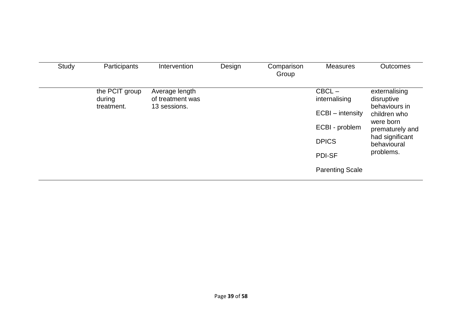| Study | Participants         | Intervention                     | Design | Comparison<br>Group | <b>Measures</b>        | <b>Outcomes</b>                |
|-------|----------------------|----------------------------------|--------|---------------------|------------------------|--------------------------------|
|       | the PCIT group       | Average length                   |        |                     | $CBCL -$               | externalising                  |
|       | during<br>treatment. | of treatment was<br>13 sessions. |        |                     | internalising          | disruptive<br>behaviours in    |
|       |                      |                                  |        |                     | ECBI - intensity       | children who                   |
|       |                      |                                  |        |                     | ECBI - problem         | were born<br>prematurely and   |
|       |                      |                                  |        |                     | <b>DPICS</b>           | had significant<br>behavioural |
|       |                      |                                  |        |                     | <b>PDI-SF</b>          | problems.                      |
|       |                      |                                  |        |                     | <b>Parenting Scale</b> |                                |
|       |                      |                                  |        |                     |                        |                                |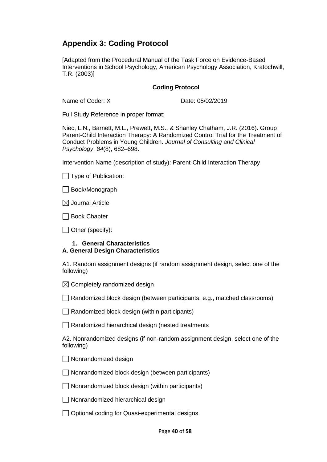# **Appendix 3: Coding Protocol**

[Adapted from the Procedural Manual of the Task Force on Evidence-Based Interventions in School Psychology, American Psychology Association, Kratochwill, T.R. (2003)]

#### **Coding Protocol**

Name of Coder: X Date: 05/02/2019

Full Study Reference in proper format:

Niec, L.N., Barnett, M.L., Prewett, M.S., & Shanley Chatham, J.R. (2016). Group Parent-Child Interaction Therapy: A Randomized Control Trial for the Treatment of Conduct Problems in Young Children. *Journal of Consulting and Clinical Psychology*, *84*(8), 682–698.

Intervention Name (description of study): Parent-Child Interaction Therapy

 $\Box$  Type of Publication:

| Book/Monograph |
|----------------|
|----------------|

 $\boxtimes$  Journal Article

| Book Chapter

 $\Box$  Other (specify):

#### **1. General Characteristics A. General Design Characteristics**

A1. Random assignment designs (if random assignment design, select one of the following)

 $\boxtimes$  Completely randomized design

 $\Box$  Randomized block design (between participants, e.g., matched classrooms)

 $\Box$  Randomized block design (within participants)

 $\Box$  Randomized hierarchical design (nested treatments

A2. Nonrandomized designs (if non-random assignment design, select one of the following)

Nonrandomized design

 $\Box$  Nonrandomized block design (between participants)

 $\Box$  Nonrandomized block design (within participants)

 $\Box$  Nonrandomized hierarchical design

◯ Optional coding for Quasi-experimental designs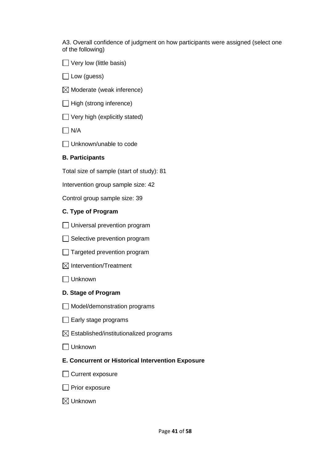A3. Overall confidence of judgment on how participants were assigned (select one of the following)

 $\Box$  Very low (little basis)

 $\Box$  Low (guess)

 $\boxtimes$  Moderate (weak inference)

 $\Box$  High (strong inference)

 $\Box$  Very high (explicitly stated)

 $\Box$  N/A

□ Unknown/unable to code

#### **B. Participants**

Total size of sample (start of study): 81

Intervention group sample size: 42

Control group sample size: 39

#### **C. Type of Program**

- □ Universal prevention program
- $\Box$  Selective prevention program
- $\Box$  Targeted prevention program
- $\boxtimes$  Intervention/Treatment

Unknown

- **D. Stage of Program**
- Model/demonstration programs
- $\Box$  Early stage programs
- $\boxtimes$  Established/institutionalized programs

Unknown

#### **E. Concurrent or Historical Intervention Exposure**

□ Current exposure

 $\Box$  Prior exposure

Unknown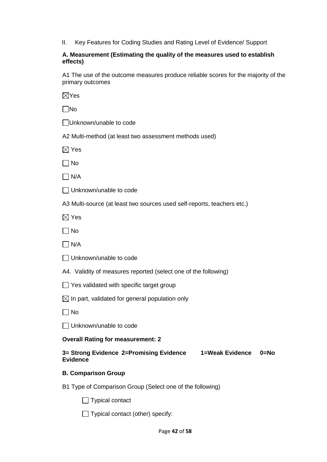II. Key Features for Coding Studies and Rating Level of Evidence/ Support

#### **A. Measurement (Estimating the quality of the measures used to establish effects)**

A1 The use of the outcome measures produce reliable scores for the majority of the primary outcomes

 $\nabla$ Yes

 $\Box$ No

Unknown/unable to code

A2 Multi-method (at least two assessment methods used)

 $\boxtimes$  Yes

 $\Box$  No

 $\Box$  N/A

Unknown/unable to code

A3 Multi-source (at least two sources used self-reports, teachers etc.)

 $\boxtimes$  Yes

 $\Box$  No

 $\Box$  N/A

Unknown/unable to code

A4. Validity of measures reported (select one of the following)

 $\Box$  Yes validated with specific target group

 $\boxtimes$  In part, validated for general population only

 $\Box$  No

□ Unknown/unable to code

#### **Overall Rating for measurement: 2**

**3= Strong Evidence 2=Promising Evidence 1=Weak Evidence 0=No Evidence**

#### **B. Comparison Group**

B1 Type of Comparison Group (Select one of the following)

 $\Box$  Typical contact

 $\Box$  Typical contact (other) specify: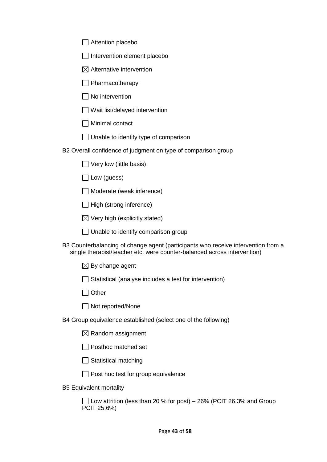| $\Box$ Attention placebo |
|--------------------------|
|--------------------------|

- $\Box$  Intervention element placebo
- $\boxtimes$  Alternative intervention
- $\Box$  Pharmacotherapy
- $\Box$  No intervention
- $\Box$  Wait list/delayed intervention
- Minimal contact
- $\Box$  Unable to identify type of comparison

B2 Overall confidence of judgment on type of comparison group

- $\Box$  Very low (little basis)
- $\Box$  Low (guess)
- □ Moderate (weak inference)
- $\Box$  High (strong inference)
- $\boxtimes$  Very high (explicitly stated)
- $\Box$  Unable to identify comparison group
- B3 Counterbalancing of change agent (participants who receive intervention from a single therapist/teacher etc. were counter-balanced across intervention)
	- $\boxtimes$  By change agent
	- $\Box$  Statistical (analyse includes a test for intervention)
	- $\Box$  Other
	- □ Not reported/None
- B4 Group equivalence established (select one of the following)
	- $\boxtimes$  Random assignment
	- $\Box$  Posthoc matched set
	- $\Box$  Statistical matching
	- $\Box$  Post hoc test for group equivalence
- B5 Equivalent mortality

 $\Box$  Low attrition (less than 20 % for post) – 26% (PCIT 26.3% and Group PCIT 25.6%)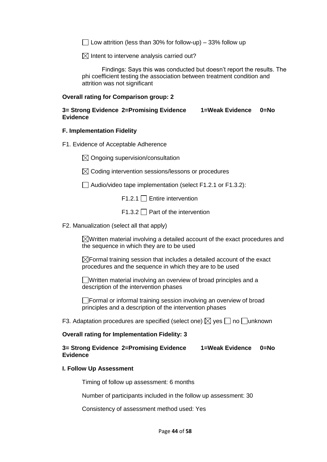$\Box$  Low attrition (less than 30% for follow-up) – 33% follow up

 $\boxtimes$  Intent to intervene analysis carried out?

Findings: Says this was conducted but doesn't report the results. The phi coefficient testing the association between treatment condition and attrition was not significant

#### **Overall rating for Comparison group: 2**

#### **3= Strong Evidence 2=Promising Evidence 1=Weak Evidence 0=No Evidence**

#### **F. Implementation Fidelity**

- F1. Evidence of Acceptable Adherence
	- $\boxtimes$  Ongoing supervision/consultation
	- $\boxtimes$  Coding intervention sessions/lessons or procedures

 $\Box$  Audio/video tape implementation (select F1.2.1 or F1.3.2):

 $F1.2.1 \Box$  Entire intervention

 $F1.3.2 \square$  Part of the intervention

F2. Manualization (select all that apply)

 $\boxtimes$ Written material involving a detailed account of the exact procedures and the sequence in which they are to be used

 $\boxtimes$  Formal training session that includes a detailed account of the exact procedures and the sequence in which they are to be used

Written material involving an overview of broad principles and a description of the intervention phases

 $\Box$  Formal or informal training session involving an overview of broad principles and a description of the intervention phases

F3. Adaptation procedures are specified (select one)  $\boxtimes$  yes  $\Box$  no  $\Box$ unknown

#### **Overall rating for Implementation Fidelity: 3**

**3= Strong Evidence 2=Promising Evidence 1=Weak Evidence 0=No Evidence**

#### **I. Follow Up Assessment**

Timing of follow up assessment: 6 months

Number of participants included in the follow up assessment: 30

Consistency of assessment method used: Yes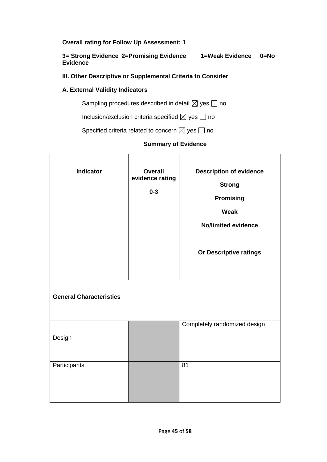**Overall rating for Follow Up Assessment: 1**

**3= Strong Evidence 2=Promising Evidence 1=Weak Evidence 0=No Evidence**

#### **III. Other Descriptive or Supplemental Criteria to Consider**

#### **A. External Validity Indicators**

Sampling procedures described in detail  $\boxtimes$  yes  $\Box$  no

Inclusion/exclusion criteria specified  $\boxtimes$  yes  $\Box$  no

Specified criteria related to concern  $\boxtimes$  yes  $\Box$  no

#### **Summary of Evidence**

| <b>Indicator</b>               | <b>Overall</b><br>evidence rating<br>$0 - 3$ | <b>Description of evidence</b><br><b>Strong</b><br><b>Promising</b><br><b>Weak</b><br><b>No/limited evidence</b><br>Or Descriptive ratings |
|--------------------------------|----------------------------------------------|--------------------------------------------------------------------------------------------------------------------------------------------|
| <b>General Characteristics</b> |                                              |                                                                                                                                            |
| Design                         |                                              | Completely randomized design                                                                                                               |
| Participants                   |                                              | 81                                                                                                                                         |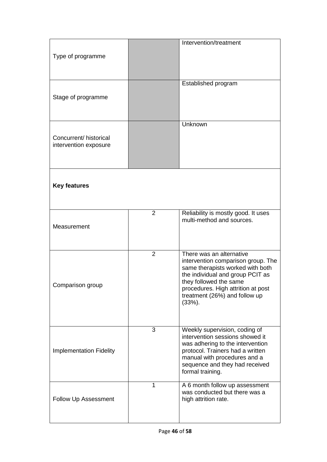| Type of programme                               |                | Intervention/treatment                                                                                                                                                                                                                               |
|-------------------------------------------------|----------------|------------------------------------------------------------------------------------------------------------------------------------------------------------------------------------------------------------------------------------------------------|
| Stage of programme                              |                | Established program                                                                                                                                                                                                                                  |
| Concurrent/ historical<br>intervention exposure |                | Unknown                                                                                                                                                                                                                                              |
| <b>Key features</b>                             |                |                                                                                                                                                                                                                                                      |
| Measurement                                     | $\overline{2}$ | Reliability is mostly good. It uses<br>multi-method and sources.                                                                                                                                                                                     |
| Comparison group                                | $\overline{2}$ | There was an alternative<br>intervention comparison group. The<br>same therapists worked with both<br>the individual and group PCIT as<br>they followed the same<br>procedures. High attrition at post<br>treatment (26%) and follow up<br>$(33%)$ . |
| <b>Implementation Fidelity</b>                  | 3              | Weekly supervision, coding of<br>intervention sessions showed it<br>was adhering to the intervention<br>protocol. Trainers had a written<br>manual with procedures and a<br>sequence and they had received<br>formal training.                       |
| Follow Up Assessment                            | $\mathbf 1$    | A 6 month follow up assessment<br>was conducted but there was a<br>high attrition rate.                                                                                                                                                              |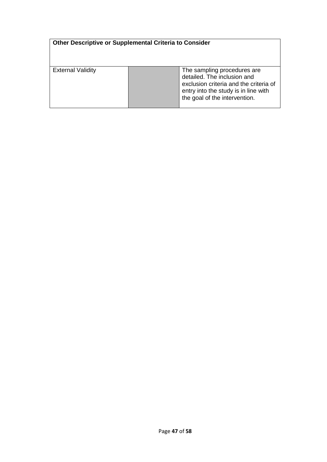| Other Descriptive or Supplemental Criteria to Consider |                                                                                                                                                                               |
|--------------------------------------------------------|-------------------------------------------------------------------------------------------------------------------------------------------------------------------------------|
| <b>External Validity</b>                               | The sampling procedures are<br>detailed. The inclusion and<br>exclusion criteria and the criteria of<br>entry into the study is in line with<br>the goal of the intervention. |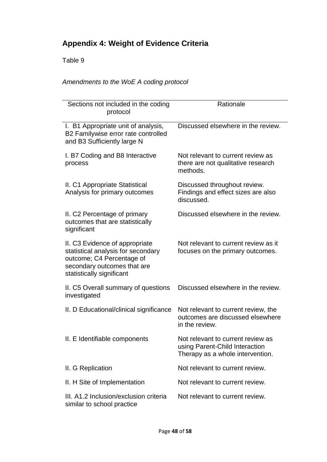# **Appendix 4: Weight of Evidence Criteria**

# Table 9

# *Amendments to the WoE A coding protocol*

| Sections not included in the coding<br>protocol                                                                                                               | Rationale                                                                                               |
|---------------------------------------------------------------------------------------------------------------------------------------------------------------|---------------------------------------------------------------------------------------------------------|
| I. B1 Appropriate unit of analysis,<br>B2 Familywise error rate controlled<br>and B3 Sufficiently large N                                                     | Discussed elsewhere in the review.                                                                      |
| I. B7 Coding and B8 Interactive<br>process                                                                                                                    | Not relevant to current review as<br>there are not qualitative research<br>methods.                     |
| II. C1 Appropriate Statistical<br>Analysis for primary outcomes                                                                                               | Discussed throughout review.<br>Findings and effect sizes are also<br>discussed.                        |
| II. C2 Percentage of primary<br>outcomes that are statistically<br>significant                                                                                | Discussed elsewhere in the review.                                                                      |
| II. C3 Evidence of appropriate<br>statistical analysis for secondary<br>outcome; C4 Percentage of<br>secondary outcomes that are<br>statistically significant | Not relevant to current review as it<br>focuses on the primary outcomes.                                |
| II. C5 Overall summary of questions<br>investigated                                                                                                           | Discussed elsewhere in the review.                                                                      |
| II. D Educational/clinical significance                                                                                                                       | Not relevant to current review, the<br>outcomes are discussed elsewhere<br>in the review.               |
| II. E Identifiable components                                                                                                                                 | Not relevant to current review as<br>using Parent-Child Interaction<br>Therapy as a whole intervention. |
| II. G Replication                                                                                                                                             | Not relevant to current review.                                                                         |
| II. H Site of Implementation                                                                                                                                  | Not relevant to current review.                                                                         |
| III. A1.2 Inclusion/exclusion criteria<br>similar to school practice                                                                                          | Not relevant to current review.                                                                         |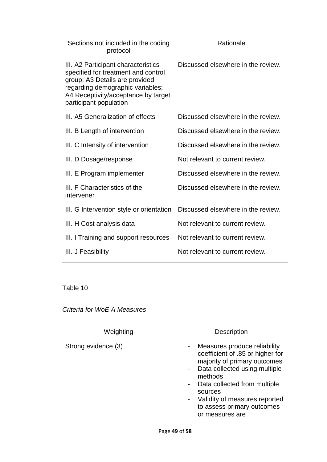| Sections not included in the coding<br>protocol                                                                                                                                                                   | Rationale                          |
|-------------------------------------------------------------------------------------------------------------------------------------------------------------------------------------------------------------------|------------------------------------|
| III. A2 Participant characteristics<br>specified for treatment and control<br>group; A3 Details are provided<br>regarding demographic variables;<br>A4 Receptivity/acceptance by target<br>participant population | Discussed elsewhere in the review. |
| III. A5 Generalization of effects                                                                                                                                                                                 | Discussed elsewhere in the review. |
| III. B Length of intervention                                                                                                                                                                                     | Discussed elsewhere in the review. |
| III. C Intensity of intervention                                                                                                                                                                                  | Discussed elsewhere in the review. |
| III. D Dosage/response                                                                                                                                                                                            | Not relevant to current review.    |
| III. E Program implementer                                                                                                                                                                                        | Discussed elsewhere in the review. |
| III. F Characteristics of the<br>intervener                                                                                                                                                                       | Discussed elsewhere in the review. |
| III. G Intervention style or orientation                                                                                                                                                                          | Discussed elsewhere in the review. |
| III. H Cost analysis data                                                                                                                                                                                         | Not relevant to current review.    |
| III. I Training and support resources                                                                                                                                                                             | Not relevant to current review.    |
| III. J Feasibility                                                                                                                                                                                                | Not relevant to current review.    |

*Criteria for WoE A Measures*

| Weighting           | <b>Description</b>                                                                                                                                                                                                                                                        |
|---------------------|---------------------------------------------------------------------------------------------------------------------------------------------------------------------------------------------------------------------------------------------------------------------------|
| Strong evidence (3) | Measures produce reliability<br>coefficient of .85 or higher for<br>majority of primary outcomes<br>Data collected using multiple<br>methods<br>Data collected from multiple<br>sources<br>Validity of measures reported<br>to assess primary outcomes<br>or measures are |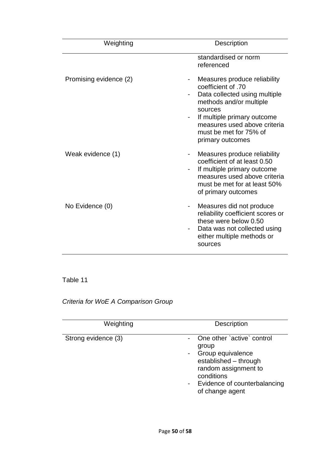| Weighting              | <b>Description</b>                                                                                                                                                                                                                     |
|------------------------|----------------------------------------------------------------------------------------------------------------------------------------------------------------------------------------------------------------------------------------|
|                        | standardised or norm<br>referenced                                                                                                                                                                                                     |
| Promising evidence (2) | Measures produce reliability<br>coefficient of .70<br>Data collected using multiple<br>methods and/or multiple<br>sources<br>If multiple primary outcome<br>measures used above criteria<br>must be met for 75% of<br>primary outcomes |
| Weak evidence (1)      | Measures produce reliability<br>coefficient of at least 0.50<br>If multiple primary outcome<br>measures used above criteria<br>must be met for at least 50%<br>of primary outcomes                                                     |
| No Evidence (0)        | Measures did not produce<br>reliability coefficient scores or<br>these were below 0.50<br>Data was not collected using<br>either multiple methods or<br>sources                                                                        |

# *Criteria for WoE A Comparison Group*

| Weighting           | <b>Description</b>                                                                                                                                                           |
|---------------------|------------------------------------------------------------------------------------------------------------------------------------------------------------------------------|
| Strong evidence (3) | One other `active` control<br>group<br>Group equivalence<br>established - through<br>random assignment to<br>conditions<br>- Evidence of counterbalancing<br>of change agent |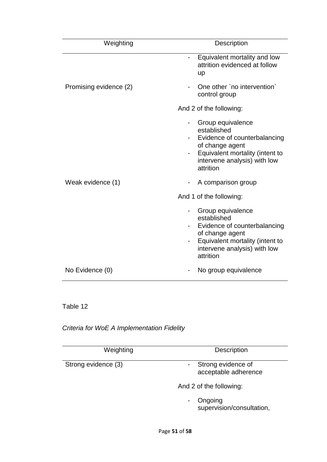| Weighting              | Description                                                                                                                                                         |
|------------------------|---------------------------------------------------------------------------------------------------------------------------------------------------------------------|
|                        | Equivalent mortality and low<br>attrition evidenced at follow<br><b>up</b>                                                                                          |
| Promising evidence (2) | One other `no intervention`<br>control group                                                                                                                        |
|                        | And 2 of the following:                                                                                                                                             |
|                        | Group equivalence<br>established<br>Evidence of counterbalancing<br>of change agent<br>Equivalent mortality (intent to<br>intervene analysis) with low<br>attrition |
| Weak evidence (1)      | A comparison group                                                                                                                                                  |
|                        | And 1 of the following:                                                                                                                                             |
|                        | Group equivalence<br>established<br>Evidence of counterbalancing<br>of change agent<br>Equivalent mortality (intent to<br>intervene analysis) with low<br>attrition |
| No Evidence (0)        | No group equivalence                                                                                                                                                |

*Criteria for WoE A Implementation Fidelity*

| Weighting           | <b>Description</b>                         |
|---------------------|--------------------------------------------|
| Strong evidence (3) | Strong evidence of<br>acceptable adherence |
|                     | And 2 of the following:                    |
|                     | Ongoing<br>supervision/consultation,       |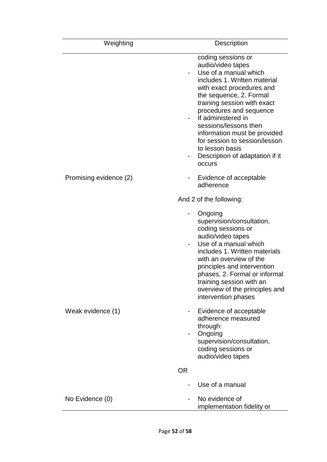| Weighting              | Description                                                                                                                                                                                                                                                                                                                                                                                        |
|------------------------|----------------------------------------------------------------------------------------------------------------------------------------------------------------------------------------------------------------------------------------------------------------------------------------------------------------------------------------------------------------------------------------------------|
|                        | coding sessions or<br>audio/video tapes<br>Use of a manual which<br>includes 1. Written material<br>with exact procedures and<br>the sequence, 2. Formal<br>training session with exact<br>procedures and sequence<br>If administered in<br>sessions/lessons then<br>information must be provided<br>for session to session/lesson<br>to lesson basis<br>Description of adaptation if it<br>occurs |
| Promising evidence (2) | Evidence of acceptable<br>adherence                                                                                                                                                                                                                                                                                                                                                                |
|                        | And 2 of the following:                                                                                                                                                                                                                                                                                                                                                                            |
|                        | Ongoing<br>supervision/consultation,<br>coding sessions or<br>audio/video tapes<br>Use of a manual which<br>includes 1. Written materials<br>with an overview of the<br>principles and intervention<br>phases, 2. Formal or informal<br>training session with an<br>overview of the principles and<br>intervention phases                                                                          |
| Weak evidence (1)      | Evidence of acceptable<br>۰<br>adherence measured<br>through:<br>Ongoing<br>supervision/consultation,<br>coding sessions or<br>audio/video tapes                                                                                                                                                                                                                                                   |
|                        | <b>OR</b>                                                                                                                                                                                                                                                                                                                                                                                          |
|                        | Use of a manual                                                                                                                                                                                                                                                                                                                                                                                    |
| No Evidence (0)        | No evidence of<br>implementation fidelity or                                                                                                                                                                                                                                                                                                                                                       |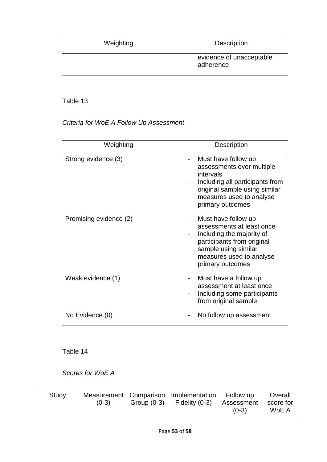Weighting Description

evidence of unacceptable adherence

### Table 13

### *Criteria for WoE A Follow Up Assessment*

| Weighting              | <b>Description</b>                                                                                                                                                                     |
|------------------------|----------------------------------------------------------------------------------------------------------------------------------------------------------------------------------------|
| Strong evidence (3)    | Must have follow up<br>-<br>assessments over multiple<br>intervals<br>Including all participants from<br>original sample using similar<br>measures used to analyse<br>primary outcomes |
| Promising evidence (2) | Must have follow up<br>assessments at least once<br>Including the majority of<br>participants from original<br>sample using similar<br>measures used to analyse<br>primary outcomes    |
| Weak evidence (1)      | Must have a follow up<br>assessment at least once<br>Including some participants<br>from original sample                                                                               |
| No Evidence (0)        | No follow up assessment                                                                                                                                                                |

Table 14

*Scores for WoE A*

| Study | $(0-3)$ | Measurement Comparison Implementation Follow up<br>Group $(0-3)$ Fidelity $(0-3)$ | Assessment<br>$(0-3)$ | Overall<br>score for<br>WoE A |
|-------|---------|-----------------------------------------------------------------------------------|-----------------------|-------------------------------|
|       |         |                                                                                   |                       |                               |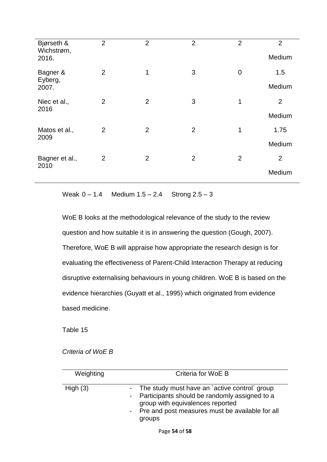| Bjørseth &<br>Wichstrøm, | $\overline{2}$ | $\overline{2}$ | $\overline{2}$ | $\overline{2}$ | $\overline{2}$<br>Medium |
|--------------------------|----------------|----------------|----------------|----------------|--------------------------|
| 2016.                    |                |                |                |                |                          |
| Bagner &<br>Eyberg,      | $\overline{2}$ | 1              | 3              | 0              | 1.5                      |
| 2007.                    |                |                |                |                | Medium                   |
| Niec et al.,<br>2016     | $\overline{2}$ | $\overline{2}$ | 3              | 1              | $\overline{2}$           |
|                          |                |                |                |                | Medium                   |
| Matos et al.,<br>2009    | $\overline{2}$ | $\overline{2}$ | $\overline{2}$ | 1              | 1.75                     |
|                          |                |                |                |                | Medium                   |
| Bagner et al.,<br>2010   | $\overline{2}$ | $\overline{2}$ | 2              | $\overline{2}$ | $\overline{2}$           |
|                          |                |                |                |                | Medium                   |

Weak  $0 - 1.4$  Medium  $1.5 - 2.4$  Strong  $2.5 - 3$ 

WoE B looks at the methodological relevance of the study to the review question and how suitable it is in answering the question (Gough, 2007). Therefore, WoE B will appraise how appropriate the research design is for evaluating the effectiveness of Parent-Child Interaction Therapy at reducing disruptive externalising behaviours in young children. WoE B is based on the evidence hierarchies (Guyatt et al., 1995) which originated from evidence based medicine.

Table 15

*Criteria of WoE B*

| Weighting  | Criteria for WoE B                                                                                                                                                                                  |
|------------|-----------------------------------------------------------------------------------------------------------------------------------------------------------------------------------------------------|
| High $(3)$ | The study must have an `active control` group<br>- Participants should be randomly assigned to a<br>group with equivalences reported<br>- Pre and post measures must be available for all<br>groups |
|            | Page 54 of 58                                                                                                                                                                                       |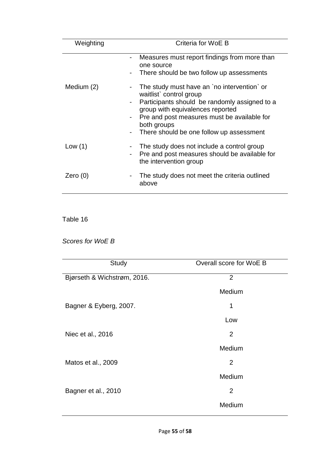| Weighting  | Criteria for WoE B                                                                                                                                                                                                                                                    |  |  |
|------------|-----------------------------------------------------------------------------------------------------------------------------------------------------------------------------------------------------------------------------------------------------------------------|--|--|
|            | Measures must report findings from more than<br>one source<br>There should be two follow up assessments                                                                                                                                                               |  |  |
| Medium (2) | The study must have an `no intervention` or<br>waitlist` control group<br>Participants should be randomly assigned to a<br>group with equivalences reported<br>Pre and post measures must be available for<br>both groups<br>There should be one follow up assessment |  |  |
| Low $(1)$  | The study does not include a control group<br>Pre and post measures should be available for<br>the intervention group                                                                                                                                                 |  |  |
| Zero $(0)$ | The study does not meet the criteria outlined<br>above                                                                                                                                                                                                                |  |  |

*Scores for WoE B*

| Study                       | Overall score for WoE B |
|-----------------------------|-------------------------|
| Bjørseth & Wichstrøm, 2016. | $\overline{2}$          |
|                             | Medium                  |
| Bagner & Eyberg, 2007.      | 1                       |
|                             | Low                     |
| Niec et al., 2016           | $\overline{2}$          |
|                             | Medium                  |
| Matos et al., 2009          | $\overline{2}$          |
|                             | Medium                  |
| Bagner et al., 2010         | $\overline{2}$          |
|                             | Medium                  |
|                             |                         |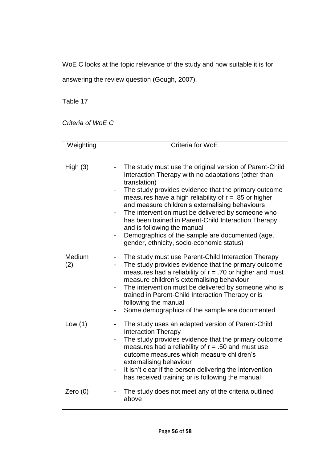WoE C looks at the topic relevance of the study and how suitable it is for

answering the review question (Gough, 2007).

Table 17

*Criteria of WoE C*

| Weighting     | Criteria for WoE                                                                                                                                                                                                                                                                                                                                                                                                                                                                                                                                 |  |  |  |
|---------------|--------------------------------------------------------------------------------------------------------------------------------------------------------------------------------------------------------------------------------------------------------------------------------------------------------------------------------------------------------------------------------------------------------------------------------------------------------------------------------------------------------------------------------------------------|--|--|--|
|               |                                                                                                                                                                                                                                                                                                                                                                                                                                                                                                                                                  |  |  |  |
| High(3)       | The study must use the original version of Parent-Child<br>Interaction Therapy with no adaptations (other than<br>translation)<br>The study provides evidence that the primary outcome<br>measures have a high reliability of $r = .85$ or higher<br>and measure children's externalising behaviours<br>The intervention must be delivered by someone who<br>has been trained in Parent-Child Interaction Therapy<br>and is following the manual<br>Demographics of the sample are documented (age,<br>gender, ethnicity, socio-economic status) |  |  |  |
| Medium<br>(2) | The study must use Parent-Child Interaction Therapy<br>The study provides evidence that the primary outcome<br>measures had a reliability of $r = .70$ or higher and must<br>measure children's externalising behaviour<br>The intervention must be delivered by someone who is<br>$\qquad \qquad \blacksquare$<br>trained in Parent-Child Interaction Therapy or is<br>following the manual<br>Some demographics of the sample are documented                                                                                                   |  |  |  |
| Low(1)        | The study uses an adapted version of Parent-Child<br><b>Interaction Therapy</b><br>The study provides evidence that the primary outcome<br>$\qquad \qquad \blacksquare$<br>measures had a reliability of $r = .50$ and must use<br>outcome measures which measure children's<br>externalising behaviour<br>It isn't clear if the person delivering the intervention<br>-<br>has received training or is following the manual                                                                                                                     |  |  |  |
| Zero $(0)$    | The study does not meet any of the criteria outlined<br>above                                                                                                                                                                                                                                                                                                                                                                                                                                                                                    |  |  |  |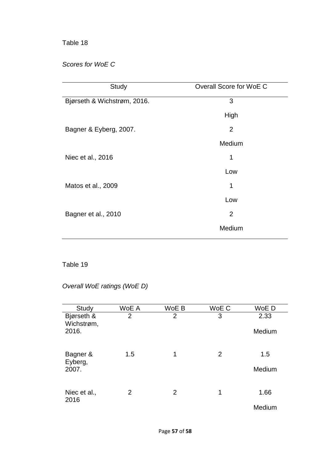### *Scores for WoE C*

| Study                       | Overall Score for WoE C |
|-----------------------------|-------------------------|
| Bjørseth & Wichstrøm, 2016. | 3                       |
|                             | High                    |
| Bagner & Eyberg, 2007.      | $\overline{2}$          |
|                             | Medium                  |
| Niec et al., 2016           | 1                       |
|                             | Low                     |
| Matos et al., 2009          | 1                       |
|                             | Low                     |
| Bagner et al., 2010         | $\overline{2}$          |
|                             | Medium                  |

# Table 19

# *Overall WoE ratings (WoE D)*

| Study                             | WoE A | WoE B | WoE C          | WoE D          |
|-----------------------------------|-------|-------|----------------|----------------|
| Bjørseth &<br>Wichstrøm,<br>2016. | 2     | 2     | 3              | 2.33<br>Medium |
|                                   |       |       |                |                |
| Bagner &<br>Eyberg,               | 1.5   | 1     | $\overline{2}$ | 1.5            |
| 2007.                             |       |       |                | Medium         |
| Niec et al.,<br>2016              | 2     | 2     | 1              | 1.66           |
|                                   |       |       |                | Medium         |